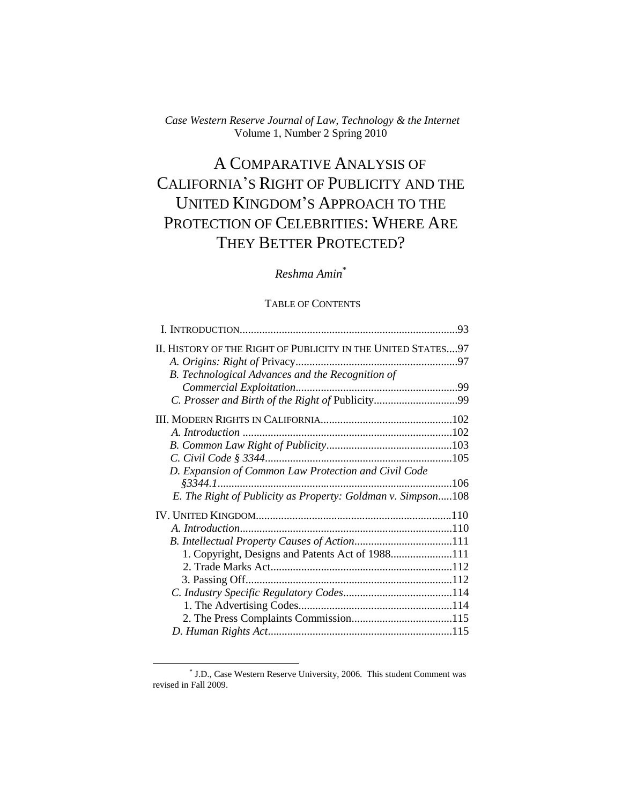*Case Western Reserve Journal of Law, Technology & the Internet* Volume 1, Number 2 Spring 2010

# A COMPARATIVE ANALYSIS OF CALIFORNIA"S RIGHT OF PUBLICITY AND THE UNITED KINGDOM"S APPROACH TO THE PROTECTION OF CELEBRITIES: WHERE ARE THEY BETTER PROTECTED?

# *Reshma Amin*\*

## TABLE OF CONTENTS

| II. HISTORY OF THE RIGHT OF PUBLICITY IN THE UNITED STATES97<br>B. Technological Advances and the Recognition of<br>D. Expansion of Common Law Protection and Civil Code<br>E. The Right of Publicity as Property: Goldman v. Simpson108<br>1. Copyright, Designs and Patents Act of 1988111 |  |
|----------------------------------------------------------------------------------------------------------------------------------------------------------------------------------------------------------------------------------------------------------------------------------------------|--|
|                                                                                                                                                                                                                                                                                              |  |
|                                                                                                                                                                                                                                                                                              |  |
|                                                                                                                                                                                                                                                                                              |  |
|                                                                                                                                                                                                                                                                                              |  |
|                                                                                                                                                                                                                                                                                              |  |
|                                                                                                                                                                                                                                                                                              |  |
|                                                                                                                                                                                                                                                                                              |  |
|                                                                                                                                                                                                                                                                                              |  |
|                                                                                                                                                                                                                                                                                              |  |
|                                                                                                                                                                                                                                                                                              |  |
|                                                                                                                                                                                                                                                                                              |  |
|                                                                                                                                                                                                                                                                                              |  |
|                                                                                                                                                                                                                                                                                              |  |
|                                                                                                                                                                                                                                                                                              |  |
|                                                                                                                                                                                                                                                                                              |  |
|                                                                                                                                                                                                                                                                                              |  |
|                                                                                                                                                                                                                                                                                              |  |
|                                                                                                                                                                                                                                                                                              |  |
|                                                                                                                                                                                                                                                                                              |  |
|                                                                                                                                                                                                                                                                                              |  |
|                                                                                                                                                                                                                                                                                              |  |

<sup>\*</sup> J.D., Case Western Reserve University, 2006. This student Comment was revised in Fall 2009.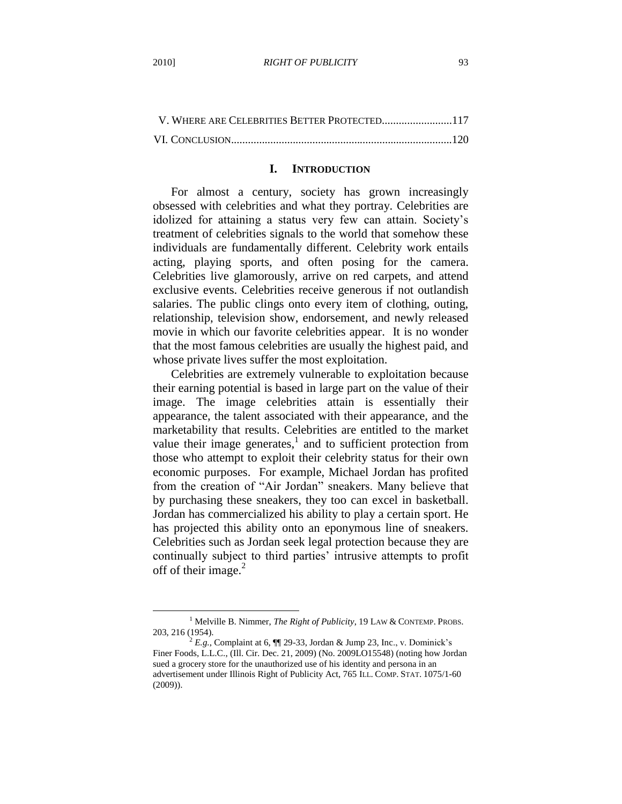$\overline{a}$ 

| V. WHERE ARE CELEBRITIES BETTER PROTECTED117 |  |
|----------------------------------------------|--|
|                                              |  |

#### **I. INTRODUCTION**

For almost a century, society has grown increasingly obsessed with celebrities and what they portray. Celebrities are idolized for attaining a status very few can attain. Society"s treatment of celebrities signals to the world that somehow these individuals are fundamentally different. Celebrity work entails acting, playing sports, and often posing for the camera. Celebrities live glamorously, arrive on red carpets, and attend exclusive events. Celebrities receive generous if not outlandish salaries. The public clings onto every item of clothing, outing, relationship, television show, endorsement, and newly released movie in which our favorite celebrities appear. It is no wonder that the most famous celebrities are usually the highest paid, and whose private lives suffer the most exploitation.

Celebrities are extremely vulnerable to exploitation because their earning potential is based in large part on the value of their image. The image celebrities attain is essentially their appearance, the talent associated with their appearance, and the marketability that results. Celebrities are entitled to the market value their image generates, $\frac{1}{x}$  and to sufficient protection from those who attempt to exploit their celebrity status for their own economic purposes. For example, Michael Jordan has profited from the creation of "Air Jordan" sneakers. Many believe that by purchasing these sneakers, they too can excel in basketball. Jordan has commercialized his ability to play a certain sport. He has projected this ability onto an eponymous line of sneakers. Celebrities such as Jordan seek legal protection because they are continually subject to third parties" intrusive attempts to profit off of their image. $^{2}$ 

<sup>1</sup> Melville B. Nimmer, *The Right of Publicity*, 19 LAW & CONTEMP. PROBS. 203, 216 (1954).

 $^{2}$  *E.g.*, Complaint at 6,  $\P$  29-33, Jordan & Jump 23, Inc., v. Dominick's Finer Foods, L.L.C., (Ill. Cir. Dec. 21, 2009) (No. 2009LO15548) (noting how Jordan sued a grocery store for the unauthorized use of his identity and persona in an advertisement under Illinois Right of Publicity Act, 765 ILL. COMP. STAT. 1075/1-60 (2009)).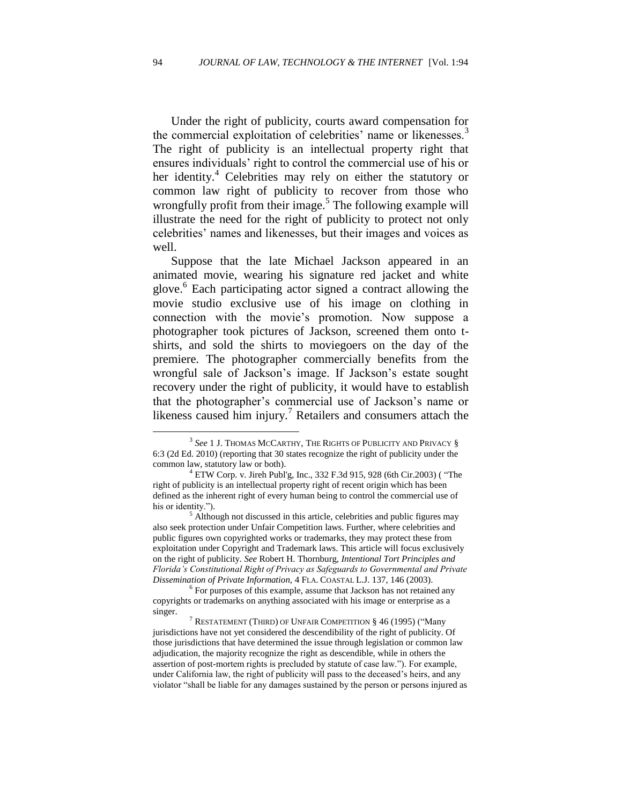Under the right of publicity, courts award compensation for the commercial exploitation of celebrities' name or likenesses.<sup>3</sup> The right of publicity is an intellectual property right that ensures individuals" right to control the commercial use of his or her identity.<sup>4</sup> Celebrities may rely on either the statutory or common law right of publicity to recover from those who wrongfully profit from their image.<sup>5</sup> The following example will illustrate the need for the right of publicity to protect not only celebrities" names and likenesses, but their images and voices as well.

Suppose that the late Michael Jackson appeared in an animated movie, wearing his signature red jacket and white glove.<sup>6</sup> Each participating actor signed a contract allowing the movie studio exclusive use of his image on clothing in connection with the movie"s promotion. Now suppose a photographer took pictures of Jackson, screened them onto tshirts, and sold the shirts to moviegoers on the day of the premiere. The photographer commercially benefits from the wrongful sale of Jackson"s image. If Jackson"s estate sought recovery under the right of publicity, it would have to establish that the photographer"s commercial use of Jackson"s name or likeness caused him injury.<sup>7</sup> Retailers and consumers attach the

 $^3$  *See* 1 J. Thomas McCarthy, The Rights of Publicity and Privacy  $\S$ 6:3 (2d Ed. 2010) (reporting that 30 states recognize the right of publicity under the common law, statutory law or both).

 $4$  [ETW Corp. v. Jireh Publ'g, Inc., 332 F.3d 915, 928 \(6th Cir.2003\)](http://web2.westlaw.com/find/default.wl?tf=-1&serialnum=2003436333&rs=WLW9.07&referencepositiontype=S&ifm=NotSet&fn=_top&sv=Split&referenceposition=928&pbc=183FD469&tc=-1&ordoc=2009567220&findtype=Y&db=506&vr=2.0&rp=%2ffind%2fdefault.wl&mt=208) ( "The right of publicity is an intellectual property right of recent origin which has been defined as the inherent right of every human being to control the commercial use of his or identity.").

<sup>&</sup>lt;sup>5</sup> Although not discussed in this article, celebrities and public figures may also seek protection under Unfair Competition laws. Further, where celebrities and public figures own copyrighted works or trademarks, they may protect these from exploitation under Copyright and Trademark laws. This article will focus exclusively on the right of publicity. *See* Robert H. Thornburg, *Intentional Tort Principles and Florida's Constitutional Right of Privacy as Safeguards to Governmental and Private Dissemination of Private Information,* 4 FLA. COASTAL L.J. 137, 146 (2003).

<sup>&</sup>lt;sup>6</sup> For purposes of this example, assume that Jackson has not retained any copyrights or trademarks on anything associated with his image or enterprise as a singer.

<sup>&</sup>lt;sup>7</sup> RESTATEMENT (THIRD) OF UNFAIR COMPETITION § 46 (1995) ("Many jurisdictions have not yet considered the descendibility of the right of publicity. Of those jurisdictions that have determined the issue through legislation or common law adjudication, the majority recognize the right as descendible, while in others the assertion of post-mortem rights is precluded by statute of case law."). For example, under California law, the right of publicity will pass to the deceased"s heirs, and any violator "shall be liable for any damages sustained by the person or persons injured as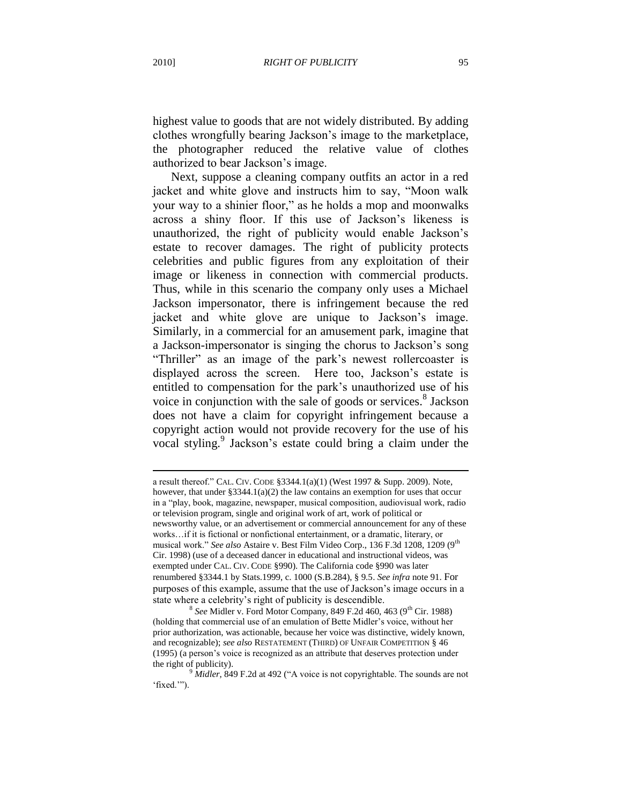highest value to goods that are not widely distributed. By adding clothes wrongfully bearing Jackson"s image to the marketplace, the photographer reduced the relative value of clothes authorized to bear Jackson"s image.

Next, suppose a cleaning company outfits an actor in a red jacket and white glove and instructs him to say, "Moon walk your way to a shinier floor," as he holds a mop and moonwalks across a shiny floor. If this use of Jackson"s likeness is unauthorized, the right of publicity would enable Jackson"s estate to recover damages. The right of publicity protects celebrities and public figures from any exploitation of their image or likeness in connection with commercial products. Thus, while in this scenario the company only uses a Michael Jackson impersonator, there is infringement because the red jacket and white glove are unique to Jackson"s image. Similarly, in a commercial for an amusement park, imagine that a Jackson-impersonator is singing the chorus to Jackson"s song "Thriller" as an image of the park"s newest rollercoaster is displayed across the screen. Here too, Jackson's estate is entitled to compensation for the park"s unauthorized use of his voice in conjunction with the sale of goods or services.<sup>8</sup> Jackson does not have a claim for copyright infringement because a copyright action would not provide recovery for the use of his vocal styling.<sup>9</sup> Jackson's estate could bring a claim under the

a result thereof." CAL. CIV. CODE §3344.1(a)(1) (West 1997 & Supp. 2009). Note, however, that under  $\S 3344.1(a)(2)$  the law contains an exemption for uses that occur in a "play, book, magazine, newspaper, musical composition, audiovisual work, radio or television program, single and original work of art, work of political or newsworthy value, or an advertisement or commercial announcement for any of these works…if it is fictional or nonfictional entertainment, or a dramatic, literary, or musical work." See also Astaire v. Best Film Video Corp., 136 F.3d 1208, 1209 (9<sup>th</sup> Cir. 1998) (use of a deceased dancer in educational and instructional videos, was exempted under CAL. CIV. CODE §990). The California code §990 was later renumbered §3344.1 by Stats.1999, c. 1000 (S.B.284), § 9.5. *See infra* note 91. For purposes of this example, assume that the use of Jackson"s image occurs in a state where a celebrity"s right of publicity is descendible.

<sup>&</sup>lt;sup>8</sup> See Midler v. Ford Motor Company, 849 F.2d 460, 463 (9<sup>th</sup> Cir. 1988) (holding that commercial use of an emulation of Bette Midler"s voice, without her prior authorization, was actionable, because her voice was distinctive, widely known, and recognizable); *see also* RESTATEMENT (THIRD) OF UNFAIR COMPETITION § 46 (1995) (a person"s voice is recognized as an attribute that deserves protection under the right of publicity).

*Midler*, 849 F.2d at 492 ("A voice is not copyrightable. The sounds are not 'fixed."").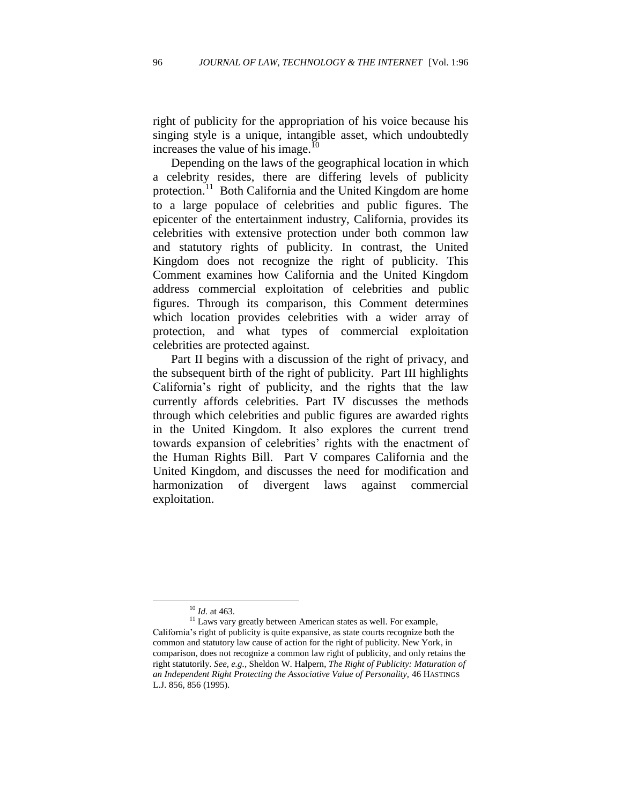right of publicity for the appropriation of his voice because his singing style is a unique, intangible asset, which undoubtedly increases the value of his image. $^{10}$ 

Depending on the laws of the geographical location in which a celebrity resides, there are differing levels of publicity protection.<sup>11</sup> Both California and the United Kingdom are home to a large populace of celebrities and public figures. The epicenter of the entertainment industry, California, provides its celebrities with extensive protection under both common law and statutory rights of publicity. In contrast, the United Kingdom does not recognize the right of publicity. This Comment examines how California and the United Kingdom address commercial exploitation of celebrities and public figures. Through its comparison, this Comment determines which location provides celebrities with a wider array of protection, and what types of commercial exploitation celebrities are protected against.

Part II begins with a discussion of the right of privacy, and the subsequent birth of the right of publicity. Part III highlights California"s right of publicity, and the rights that the law currently affords celebrities. Part IV discusses the methods through which celebrities and public figures are awarded rights in the United Kingdom. It also explores the current trend towards expansion of celebrities' rights with the enactment of the Human Rights Bill. Part V compares California and the United Kingdom, and discusses the need for modification and harmonization of divergent laws against commercial exploitation.

<sup>10</sup> *Id.* at 463.

 $11$  Laws vary greatly between American states as well. For example, California"s right of publicity is quite expansive, as state courts recognize both the common and statutory law cause of action for the right of publicity. New York, in comparison, does not recognize a common law right of publicity, and only retains the right statutorily. *See, e.g.,* Sheldon W. Halpern, *The Right of Publicity: Maturation of an Independent Right Protecting the Associative Value of Personality,* 46 HASTINGS L.J. 856, 856 (1995).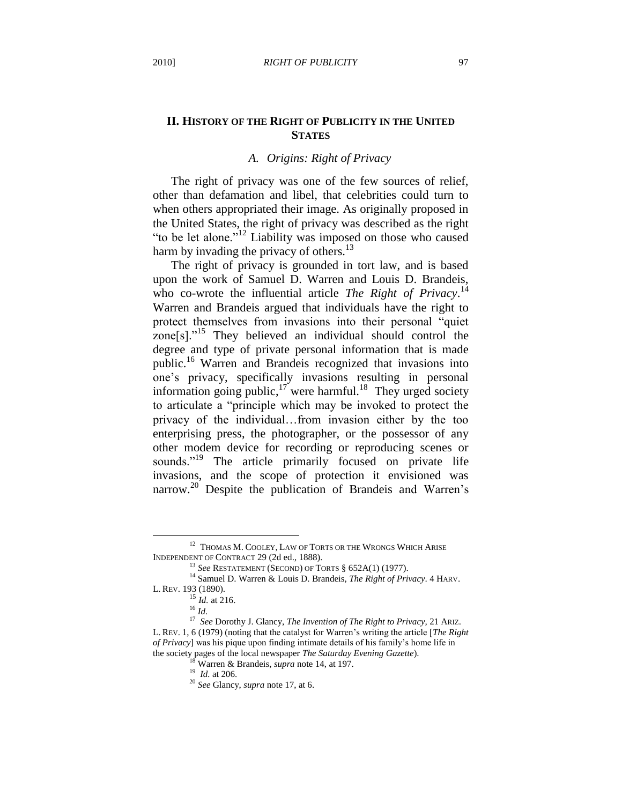## **II. HISTORY OF THE RIGHT OF PUBLICITY IN THE UNITED STATES**

# *A. Origins: Right of Privacy*

The right of privacy was one of the few sources of relief, other than defamation and libel, that celebrities could turn to when others appropriated their image. As originally proposed in the United States, the right of privacy was described as the right "to be let alone."<sup>12</sup> Liability was imposed on those who caused harm by invading the privacy of others.<sup>13</sup>

The right of privacy is grounded in tort law, and is based upon the work of Samuel D. Warren and Louis D. Brandeis, who co-wrote the influential article *The Right of Privacy*.<sup>14</sup> Warren and Brandeis argued that individuals have the right to protect themselves from invasions into their personal "quiet zone $[s]$ ."<sup>15</sup> They believed an individual should control the degree and type of private personal information that is made public.<sup>16</sup> Warren and Brandeis recognized that invasions into one"s privacy, specifically invasions resulting in personal information going public,  $17$  were harmful.<sup>18</sup> They urged society to articulate a "principle which may be invoked to protect the privacy of the individual…from invasion either by the too enterprising press, the photographer, or the possessor of any other modem device for recording or reproducing scenes or sounds."<sup>19</sup> The article primarily focused on private life invasions, and the scope of protection it envisioned was narrow.<sup>20</sup> Despite the publication of Brandeis and Warren's

<sup>&</sup>lt;sup>12</sup> THOMAS M. COOLEY, LAW OF TORTS OR THE WRONGS WHICH ARISE INDEPENDENT OF CONTRACT 29 (2d ed., 1888).

<sup>13</sup> *See* RESTATEMENT (SECOND) OF TORTS § 652A(1) (1977).

<sup>14</sup> Samuel D. Warren & Louis D. Brandeis, *The Right of Privacy*. 4 HARV.

L. REV. 193 (1890).

 $^{15}$  *Id.* at 216.

<sup>16</sup> *Id.*

<sup>17</sup> *See* Dorothy J. Glancy, *The Invention of The Right to Privacy,* 21 ARIZ. L. REV. 1, 6 (1979) (noting that the catalyst for Warren"s writing the article [*The Right of Privacy*] was his pique upon finding intimate details of his family"s home life in the society pages of the local newspaper *The Saturday Evening Gazette*).

<sup>18</sup> Warren & Brandeis, *supra* note 14, at 197.

<sup>19</sup> *Id.* at 206.

<sup>20</sup> *See* Glancy, *supra* note 17, at 6.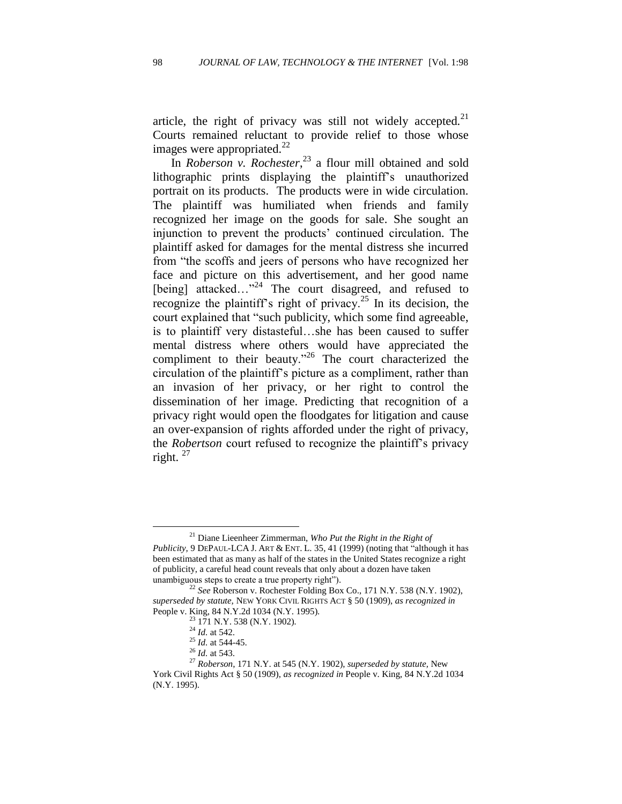article, the right of privacy was still not widely accepted.<sup>21</sup> Courts remained reluctant to provide relief to those whose images were appropriated. $^{22}$ 

In *Roberson v. Rochester*, <sup>23</sup> a flour mill obtained and sold lithographic prints displaying the plaintiff"s unauthorized portrait on its products. The products were in wide circulation. The plaintiff was humiliated when friends and family recognized her image on the goods for sale. She sought an injunction to prevent the products" continued circulation. The plaintiff asked for damages for the mental distress she incurred from "the scoffs and jeers of persons who have recognized her face and picture on this advertisement, and her good name [being] attacked..."<sup>24</sup> The court disagreed, and refused to recognize the plaintiff's right of privacy.<sup>25</sup> In its decision, the court explained that "such publicity, which some find agreeable, is to plaintiff very distasteful…she has been caused to suffer mental distress where others would have appreciated the compliment to their beauty."<sup>26</sup> The court characterized the circulation of the plaintiff"s picture as a compliment, rather than an invasion of her privacy, or her right to control the dissemination of her image. Predicting that recognition of a privacy right would open the floodgates for litigation and cause an over-expansion of rights afforded under the right of privacy, the *Robertson* court refused to recognize the plaintiff"s privacy right.  $27$ 

<sup>21</sup> Diane Lieenheer Zimmerman, *Who Put the Right in the Right of Publicity,* 9 DEPAUL-LCA J. ART & ENT. L. 35, 41 (1999) (noting that "although it has been estimated that as many as half of the states in the United States recognize a right of publicity, a careful head count reveals that only about a dozen have taken unambiguous steps to create a true property right").

<sup>22</sup> *See* Roberson v. Rochester Folding Box Co., 171 N.Y. 538 (N.Y. 1902), *superseded by statute,* NEW YORK CIVIL RIGHTS ACT § 50 (1909), *as recognized in*  People v. King, 84 N.Y.2d 1034 (N.Y. 1995).

<sup>23</sup> 171 N.Y. 538 (N.Y. 1902)*.* 

<sup>24</sup> *Id.* at 542.

<sup>25</sup> *Id.* at 544-45.

<sup>26</sup> *Id.* at 543.

<sup>27</sup> *Roberson*, 171 N.Y. at 545 (N.Y. 1902), *superseded by statute,* New York Civil Rights Act § 50 (1909), *as recognized in* People v. King, 84 N.Y.2d 1034 (N.Y. 1995).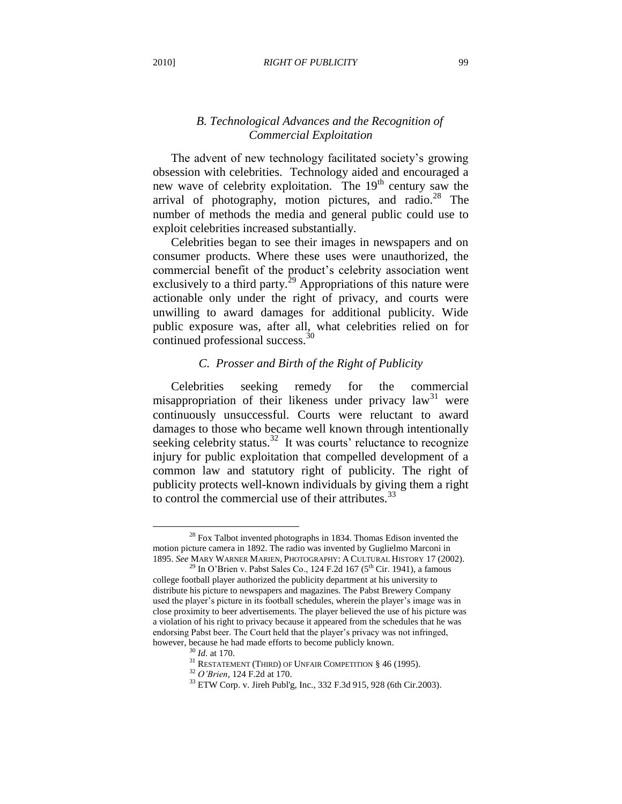# *B. Technological Advances and the Recognition of Commercial Exploitation*

The advent of new technology facilitated society's growing obsession with celebrities. Technology aided and encouraged a new wave of celebrity exploitation. The  $19<sup>th</sup>$  century saw the arrival of photography, motion pictures, and radio. $28$  The number of methods the media and general public could use to exploit celebrities increased substantially.

Celebrities began to see their images in newspapers and on consumer products. Where these uses were unauthorized, the commercial benefit of the product"s celebrity association went exclusively to a third party. $2^9$  Appropriations of this nature were actionable only under the right of privacy, and courts were unwilling to award damages for additional publicity. Wide public exposure was, after all, what celebrities relied on for continued professional success.<sup>30</sup>

# *C. Prosser and Birth of the Right of Publicity*

Celebrities seeking remedy for the commercial misappropriation of their likeness under privacy law<sup>31</sup> were continuously unsuccessful. Courts were reluctant to award damages to those who became well known through intentionally seeking celebrity status.<sup>32</sup> It was courts' reluctance to recognize injury for public exploitation that compelled development of a common law and statutory right of publicity. The right of publicity protects well-known individuals by giving them a right to control the commercial use of their attributes. $33$ 

 $^{28}$  Fox Talbot invented photographs in 1834. Thomas Edison invented the motion picture camera in 1892. The radio was invented by Guglielmo Marconi in 1895. *See* MARY WARNER MARIEN, PHOTOGRAPHY: A CULTURAL HISTORY 17 (2002).

<sup>&</sup>lt;sup>29</sup> In O'Brien v. Pabst Sales Co., 124 F.2d 167 (5<sup>th</sup> Cir. 1941), a famous college football player authorized the publicity department at his university to distribute his picture to newspapers and magazines. The Pabst Brewery Company used the player"s picture in its football schedules, wherein the player"s image was in close proximity to beer advertisements. The player believed the use of his picture was a violation of his right to privacy because it appeared from the schedules that he was endorsing Pabst beer. The Court held that the player"s privacy was not infringed, however, because he had made efforts to become publicly known.

<sup>30</sup> *Id.* at 170.

 $^{31}$ RESTATEMENT (THIRD) OF UNFAIR COMPETITION § 46 (1995).

<sup>32</sup> *O'Brien*, 124 F.2d at 170.

<sup>33</sup> [ETW Corp. v. Jireh Publ'g, Inc., 332 F.3d 915, 928 \(6th Cir.2003\).](http://web2.westlaw.com/find/default.wl?tf=-1&serialnum=2003436333&rs=WLW9.07&referencepositiontype=S&ifm=NotSet&fn=_top&sv=Split&referenceposition=928&pbc=183FD469&tc=-1&ordoc=2009567220&findtype=Y&db=506&vr=2.0&rp=%2ffind%2fdefault.wl&mt=208)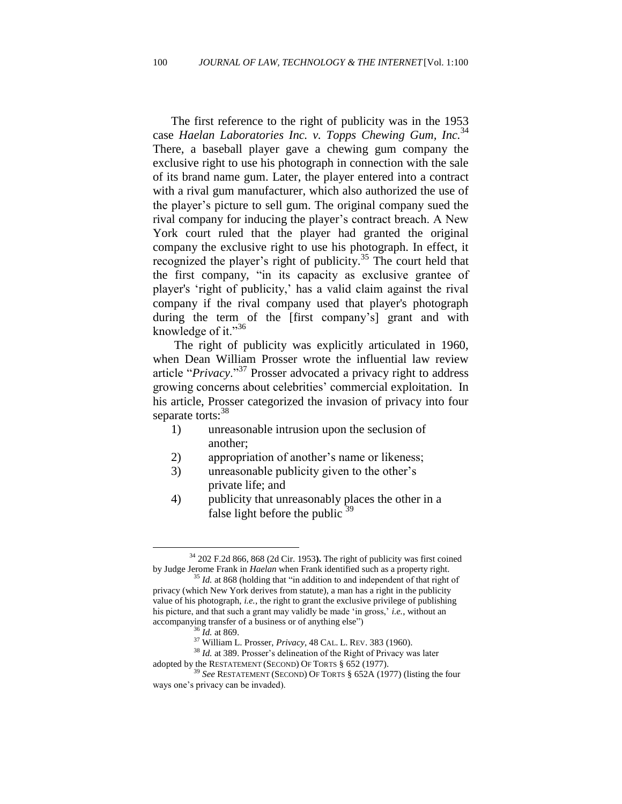The first reference to the right of publicity was in the 1953 case *Haelan Laboratories Inc. v. Topps Chewing Gum, Inc.* 34 There, a baseball player gave a chewing gum company the exclusive right to use his photograph in connection with the sale of its brand name gum. Later, the player entered into a contract with a rival gum manufacturer, which also authorized the use of the player"s picture to sell gum. The original company sued the rival company for inducing the player's contract breach. A New York court ruled that the player had granted the original company the exclusive right to use his photograph. In effect, it recognized the player's right of publicity.<sup>35</sup> The court held that the first company, "in its capacity as exclusive grantee of player's "right of publicity," has a valid claim against the rival company if the rival company used that player's photograph during the term of the [first company's] grant and with knowledge of it."<sup>36</sup>

The right of publicity was explicitly articulated in 1960, when Dean William Prosser wrote the influential law review article "*Privacy*."<sup>37</sup> Prosser advocated a privacy right to address growing concerns about celebrities" commercial exploitation. In his article, Prosser categorized the invasion of privacy into four separate torts:<sup>38</sup>

- 1) unreasonable intrusion upon the seclusion of another;
- 2) appropriation of another"s name or likeness;
- 3) unreasonable publicity given to the other"s private life; and
- 4) publicity that unreasonably places the other in a false light before the public  $39$

<sup>34</sup> 202 F.2d 866, 868 (2d Cir. 1953**).** The right of publicity was first coined by Judge Jerome Frank in *Haelan* when Frank identified such as a property right.

<sup>&</sup>lt;sup>35</sup> *Id.* at 868 (holding that "in addition to and independent of that right of privacy (which New York derives from statute), a man has a right in the publicity value of his photograph, *i.e.*, the right to grant the exclusive privilege of publishing his picture, and that such a grant may validly be made "in gross," *i.e.*, without an accompanying transfer of a business or of anything else")

<sup>36</sup> *Id.* at 869.

<sup>37</sup> William L. Prosser, *Privacy*, 48 CAL. L. REV. 383 (1960).

<sup>&</sup>lt;sup>38</sup> *Id.* at 389. Prosser's delineation of the Right of Privacy was later adopted by the RESTATEMENT (SECOND) OF TORTS § 652 (1977).

<sup>39</sup> *See* RESTATEMENT (SECOND) OF TORTS § 652A (1977) (listing the four ways one's privacy can be invaded).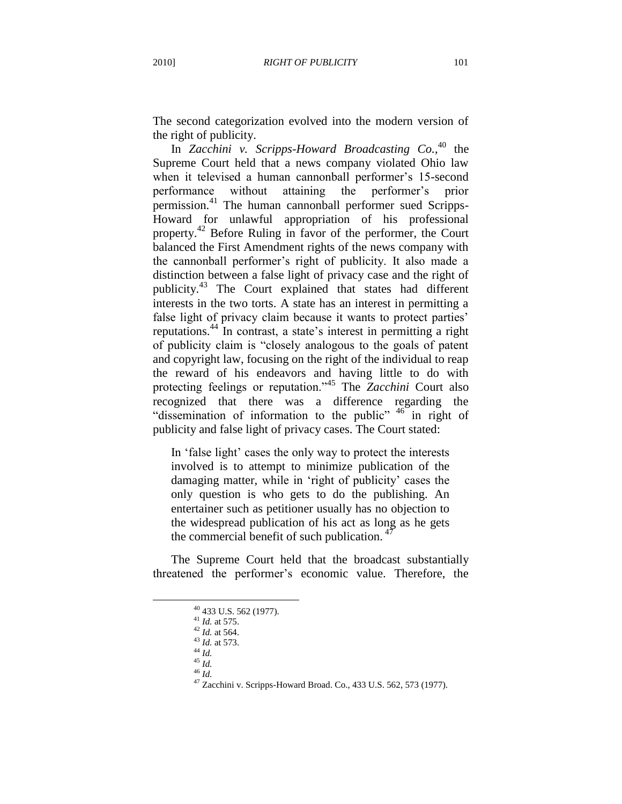The second categorization evolved into the modern version of the right of publicity.

In *Zacchini v. Scripps-Howard Broadcasting Co.*, <sup>40</sup> the Supreme Court held that a news company violated Ohio law when it televised a human cannonball performer's 15-second performance without attaining the performer"s prior permission.<sup>41</sup> The human cannonball performer sued Scripps-Howard for unlawful appropriation of his professional property.<sup>42</sup> Before Ruling in favor of the performer, the Court balanced the First Amendment rights of the news company with the cannonball performer"s right of publicity. It also made a distinction between a false light of privacy case and the right of publicity.<sup>43</sup> The Court explained that states had different interests in the two torts. A state has an interest in permitting a false light of privacy claim because it wants to protect parties' reputations.<sup>44</sup> In contrast, a state"s interest in permitting a right of publicity claim is "closely analogous to the goals of patent and copyright law, focusing on the right of the individual to reap the reward of his endeavors and having little to do with protecting feelings or reputation."<sup>45</sup> The *Zacchini* Court also recognized that there was a difference regarding the "dissemination of information to the public" <sup>46</sup> in right of publicity and false light of privacy cases. The Court stated:

In 'false light' cases the only way to protect the interests involved is to attempt to minimize publication of the damaging matter, while in "right of publicity" cases the only question is who gets to do the publishing. An entertainer such as petitioner usually has no objection to the widespread publication of his act as long as he gets the commercial benefit of such publication.  $47$ 

The Supreme Court held that the broadcast substantially threatened the performer"s economic value. Therefore, the

 $\overline{a}$ 

<sup>46</sup> *Id.* 

<sup>40</sup> 433 U.S. 562 (1977).

<sup>41</sup> *Id.* at 575.

<sup>&</sup>lt;sup>42</sup> *Id.* at 564.

<sup>43</sup> *Id.* at 573.  $^{44}$   $^{14}$ .

 $45\overline{1}$ 

<sup>47</sup> Zacchini v. Scripps-Howard Broad. Co., 433 U.S. 562, 573 (1977).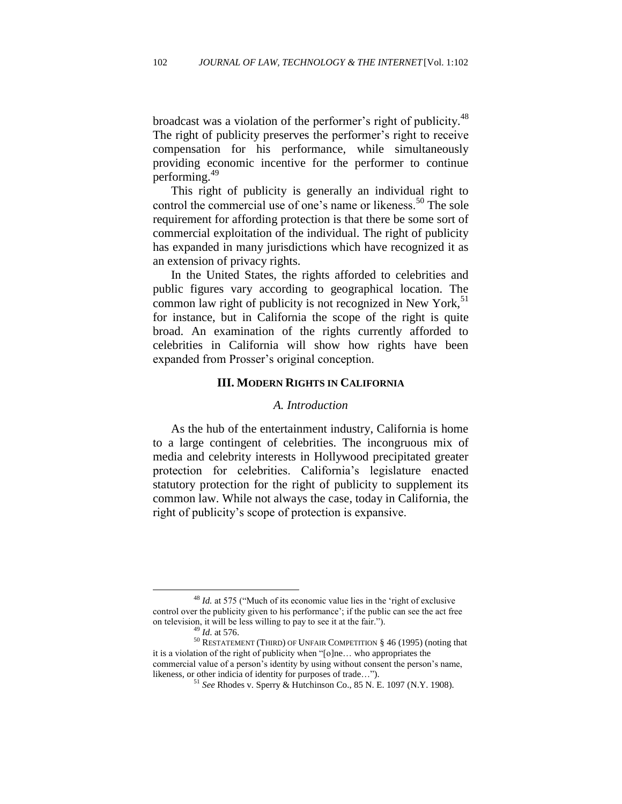broadcast was a violation of the performer's right of publicity.<sup>48</sup> The right of publicity preserves the performer's right to receive compensation for his performance, while simultaneously providing economic incentive for the performer to continue performing.<sup>49</sup>

This right of publicity is generally an individual right to control the commercial use of one's name or likeness.<sup>50</sup> The sole requirement for affording protection is that there be some sort of commercial exploitation of the individual. The right of publicity has expanded in many jurisdictions which have recognized it as an extension of privacy rights.

In the United States, the rights afforded to celebrities and public figures vary according to geographical location. The common law right of publicity is not recognized in New York, $51$ for instance, but in California the scope of the right is quite broad. An examination of the rights currently afforded to celebrities in California will show how rights have been expanded from Prosser"s original conception.

#### **III. MODERN RIGHTS IN CALIFORNIA**

#### *A. Introduction*

As the hub of the entertainment industry, California is home to a large contingent of celebrities. The incongruous mix of media and celebrity interests in Hollywood precipitated greater protection for celebrities. California"s legislature enacted statutory protection for the right of publicity to supplement its common law. While not always the case, today in California, the right of publicity"s scope of protection is expansive.

<sup>48</sup> *Id.* at 575 ("Much of its economic value lies in the "right of exclusive control over the publicity given to his performance"; if the public can see the act free on television, it will be less willing to pay to see it at the fair.").

<sup>49</sup> *Id*. at 576.

<sup>50</sup> RESTATEMENT (THIRD) OF UNFAIR COMPETITION § 46 (1995) (noting that it is a violation of the right of publicity when "[o]ne… who appropriates the commercial value of a person's identity by using without consent the person's name, likeness, or other indicia of identity for purposes of trade…").

<sup>51</sup> *See* Rhodes v. Sperry & Hutchinson Co., 85 N. E. 1097 (N.Y. 1908).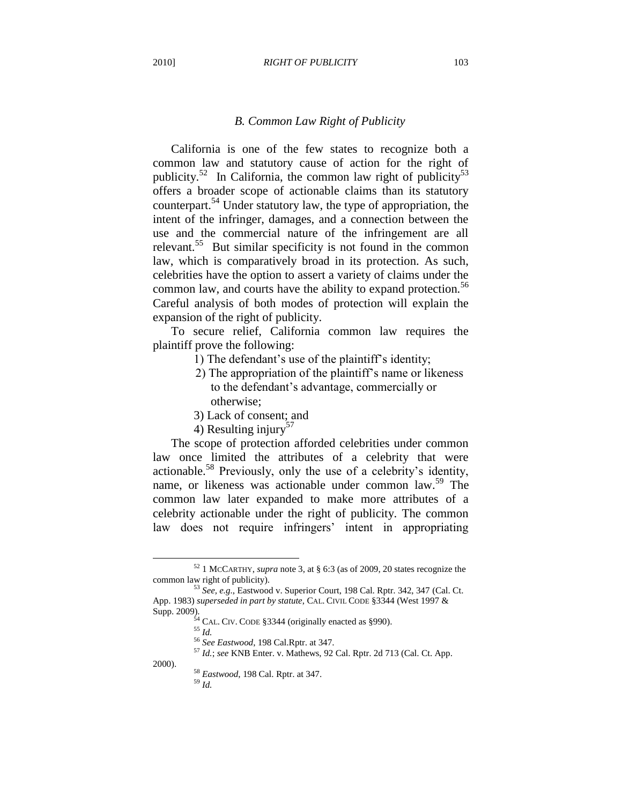#### *B. Common Law Right of Publicity*

California is one of the few states to recognize both a common law and statutory cause of action for the right of publicity.<sup>52</sup> In California, the common law right of publicity<sup>53</sup> offers a broader scope of actionable claims than its statutory counterpart.<sup>54</sup> Under statutory law, the type of appropriation, the intent of the infringer, damages, and a connection between the use and the commercial nature of the infringement are all relevant.<sup>55</sup> But similar specificity is not found in the common law, which is comparatively broad in its protection. As such, celebrities have the option to assert a variety of claims under the common law, and courts have the ability to expand protection.<sup>56</sup> Careful analysis of both modes of protection will explain the expansion of the right of publicity.

To secure relief, California common law requires the plaintiff prove the following:

- 1) The defendant"s use of the plaintiff"s identity;
- 2) The appropriation of the plaintiff"s name or likeness to the defendant"s advantage, commercially or otherwise;
- 3) Lack of consent; and
- 4) Resulting injury<sup>57</sup>

 The scope of protection afforded celebrities under common law once limited the attributes of a celebrity that were actionable.<sup>58</sup> Previously, only the use of a celebrity's identity, name, or likeness was actionable under common law.<sup>59</sup> The common law later expanded to make more attributes of a celebrity actionable under the right of publicity. The common law does not require infringers' intent in appropriating

 $\overline{a}$ 

2000).

<sup>57</sup> *Id.*; *see* KNB Enter. v. Mathews, 92 Cal. Rptr. 2d 713 (Cal. Ct. App.

<sup>59</sup> *Id.* 

<sup>52</sup> 1 MCCARTHY, *supra* note 3, at § 6:3 (as of 2009, 20 states recognize the common law right of publicity).

<sup>53</sup> *See, e.g.*, Eastwood v. Superior Court, 198 Cal. Rptr. 342, 347 (Cal. Ct. App. 1983) *superseded in part by statute*, CAL. CIVIL CODE §3344 (West 1997 & Supp. 2009).

 $54$  CAL. CIV. CODE §3344 (originally enacted as §990).

<sup>55</sup> *Id.*

<sup>56</sup> *See Eastwood*, 198 Cal.Rptr. at 347.

<sup>58</sup> *Eastwood*, 198 Cal. Rptr. at 347.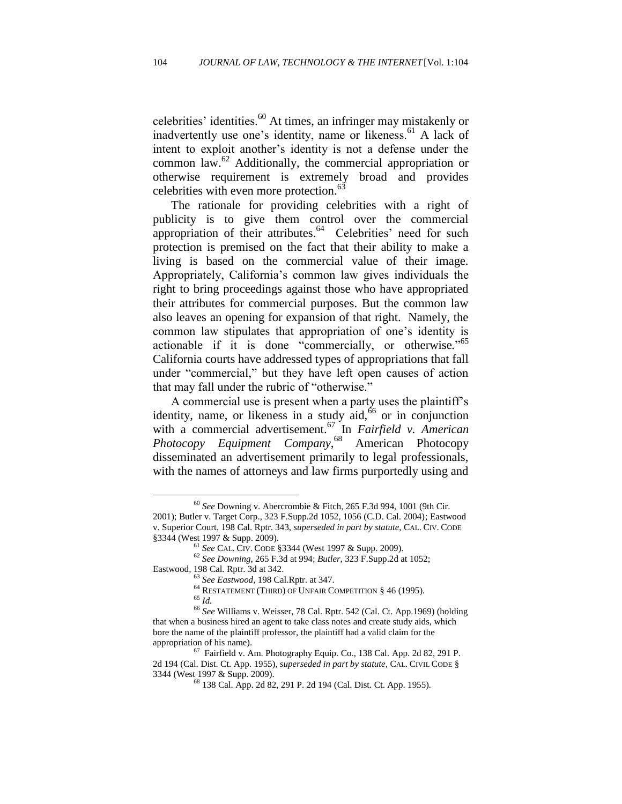celebrities' identities. $60$  At times, an infringer may mistakenly or inadvertently use one's identity, name or likeness.<sup>61</sup> A lack of intent to exploit another"s identity is not a defense under the common law.<sup>62</sup> Additionally, the commercial appropriation or otherwise requirement is extremely broad and provides celebrities with even more protection.<sup>63</sup>

The rationale for providing celebrities with a right of publicity is to give them control over the commercial appropriation of their attributes.<sup>64</sup> Celebrities' need for such protection is premised on the fact that their ability to make a living is based on the commercial value of their image. Appropriately, California"s common law gives individuals the right to bring proceedings against those who have appropriated their attributes for commercial purposes. But the common law also leaves an opening for expansion of that right. Namely, the common law stipulates that appropriation of one"s identity is actionable if it is done "commercially, or otherwise*.*" 65 California courts have addressed types of appropriations that fall under "commercial," but they have left open causes of action that may fall under the rubric of "otherwise."

A commercial use is present when a party uses the plaintiff"s identity, name, or likeness in a study  $\mathrm{aid}$ ,  $\frac{6}{6}$  or in conjunction with a commercial advertisement.<sup>67</sup> In *Fairfield v. American Photocopy Equipment Company*, <sup>68</sup> American Photocopy disseminated an advertisement primarily to legal professionals, with the names of attorneys and law firms purportedly using and

<sup>60</sup> *See* Downing v. Abercrombie & Fitch, 265 F.3d 994, 1001 (9th Cir. 2001); Butler v. Target Corp., 323 F.Supp.2d 1052, 1056 (C.D. Cal. 2004); Eastwood v. Superior Court, 198 Cal. Rptr. 343, *superseded in part by statute*, CAL. CIV. CODE §3344 (West 1997 & Supp. 2009).

<sup>61</sup> *See* CAL. CIV. CODE §3344 (West 1997 & Supp. 2009).

<sup>62</sup> *See Downing*, 265 F.3d at 994; *Butler*, 323 F.Supp.2d at 1052; Eastwood, 198 Cal. Rptr. 3d at 342.

<sup>63</sup> *See Eastwood,* 198 Cal.Rptr. at 347.

<sup>64</sup> RESTATEMENT (THIRD) OF UNFAIR COMPETITION § 46 (1995).

<sup>65</sup> *Id.*

<sup>66</sup> *See* Williams v. Weisser, 78 Cal. Rptr. 542 (Cal. Ct. App.1969) (holding that when a business hired an agent to take class notes and create study aids, which bore the name of the plaintiff professor, the plaintiff had a valid claim for the appropriation of his name).

<sup>67</sup> Fairfield v. Am. Photography Equip. Co., 138 Cal. App. 2d 82, 291 P. 2d 194 (Cal. Dist. Ct. App. 1955), *superseded in part by statute,* CAL. CIVIL CODE § 3344 (West 1997 & Supp. 2009).

<sup>68</sup> 138 Cal. App. 2d 82, 291 P. 2d 194 (Cal. Dist. Ct. App. 1955)*.*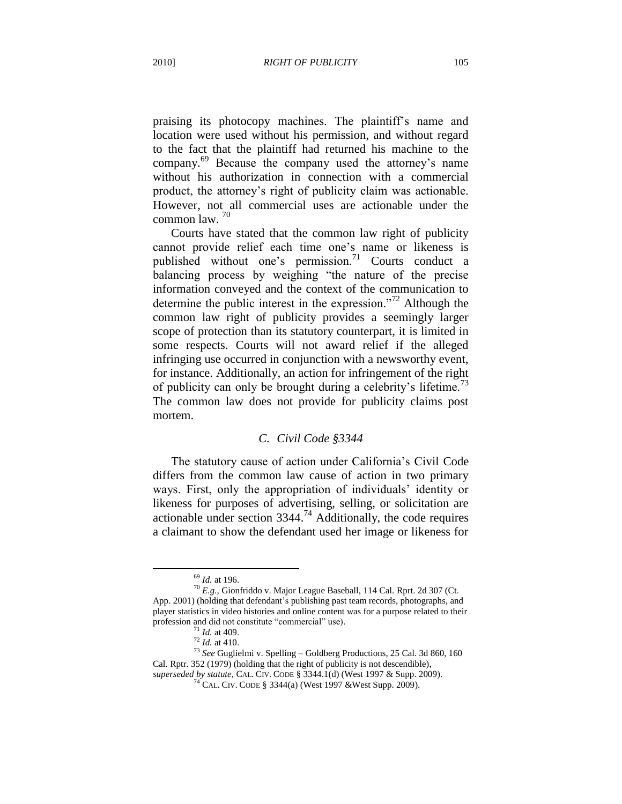praising its photocopy machines. The plaintiff's name and location were used without his permission, and without regard to the fact that the plaintiff had returned his machine to the company.<sup>69</sup> Because the company used the attorney"s name without his authorization in connection with a commercial product, the attorney"s right of publicity claim was actionable. However, not all commercial uses are actionable under the common law. <sup>70</sup>

Courts have stated that the common law right of publicity cannot provide relief each time one's name or likeness is published without one's permission.<sup>71</sup> Courts conduct a balancing process by weighing "the nature of the precise information conveyed and the context of the communication to determine the public interest in the expression."<sup>72</sup> Although the common law right of publicity provides a seemingly larger scope of protection than its statutory counterpart, it is limited in some respects. Courts will not award relief if the alleged infringing use occurred in conjunction with a newsworthy event, for instance. Additionally, an action for infringement of the right of publicity can only be brought during a celebrity's lifetime.<sup>73</sup> The common law does not provide for publicity claims post mortem.

# *C. Civil Code §3344*

The statutory cause of action under California's Civil Code differs from the common law cause of action in two primary ways. First, only the appropriation of individuals" identity or likeness for purposes of advertising, selling, or solicitation are actionable under section  $3344.<sup>74</sup>$  Additionally, the code requires a claimant to show the defendant used her image or likeness for

<sup>69</sup> *Id.* at 196.

<sup>70</sup> *E.g.,* Gionfriddo v. Major League Baseball, 114 Cal. Rprt. 2d 307 (Ct. App. 2001) (holding that defendant's publishing past team records, photographs, and player statistics in video histories and online content was for a purpose related to their profession and did not constitute "commercial" use).

<sup>71</sup> *Id.* at 409.

<sup>72</sup> *Id.* at 410.

<sup>73</sup> *See* Guglielmi v. Spelling – Goldberg Productions, 25 Cal. 3d 860, 160 Cal. Rptr. 352 (1979) (holding that the right of publicity is not descendible), *superseded by statute,* CAL. CIV. CODE § 3344.1(d) (West 1997 & Supp. 2009).

<sup>74</sup> CAL. CIV. CODE § 3344(a) (West 1997 &West Supp. 2009).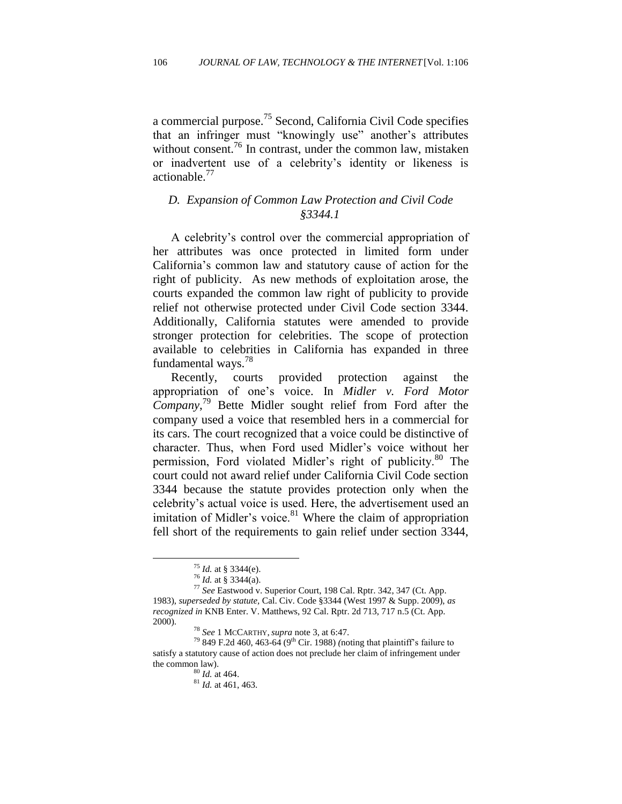a commercial purpose.<sup>75</sup> Second, California Civil Code specifies that an infringer must "knowingly use" another"s attributes without consent.<sup>76</sup> In contrast, under the common law, mistaken or inadvertent use of a celebrity"s identity or likeness is actionable.<sup>77</sup>

# *D. Expansion of Common Law Protection and Civil Code §3344.1*

A celebrity"s control over the commercial appropriation of her attributes was once protected in limited form under California"s common law and statutory cause of action for the right of publicity. As new methods of exploitation arose, the courts expanded the common law right of publicity to provide relief not otherwise protected under Civil Code section 3344. Additionally, California statutes were amended to provide stronger protection for celebrities. The scope of protection available to celebrities in California has expanded in three fundamental ways.<sup>78</sup>

Recently, courts provided protection against the appropriation of one"s voice. In *Midler v. Ford Motor Company*, <sup>79</sup> Bette Midler sought relief from Ford after the company used a voice that resembled hers in a commercial for its cars. The court recognized that a voice could be distinctive of character. Thus, when Ford used Midler"s voice without her permission, Ford violated Midler's right of publicity.<sup>80</sup> The court could not award relief under California Civil Code section 3344 because the statute provides protection only when the celebrity"s actual voice is used. Here, the advertisement used an imitation of Midler's voice. $81$  Where the claim of appropriation fell short of the requirements to gain relief under section 3344,

<sup>75</sup> *Id.* at § 3344(e).

<sup>76</sup> *Id.* at § 3344(a).

<sup>77</sup> *See* Eastwood v. Superior Court, 198 Cal. Rptr. 342, 347 (Ct. App. 1983), *superseded by statute,* Cal. Civ. Code §3344 (West 1997 & Supp. 2009), *as recognized in* KNB Enter. V. Matthews, 92 Cal. Rptr. 2d 713, 717 n.5 (Ct. App. 2000).

<sup>78</sup> *See* 1 MCCARTHY, *supra* note 3, at 6:47.

<sup>79</sup> 849 F.2d 460, 463-64 (9th Cir. 1988) *(*noting that plaintiff"s failure to satisfy a statutory cause of action does not preclude her claim of infringement under the common law).

<sup>80</sup> *Id.* at 464.

 $^{81}$  *Id.* at 461, 463.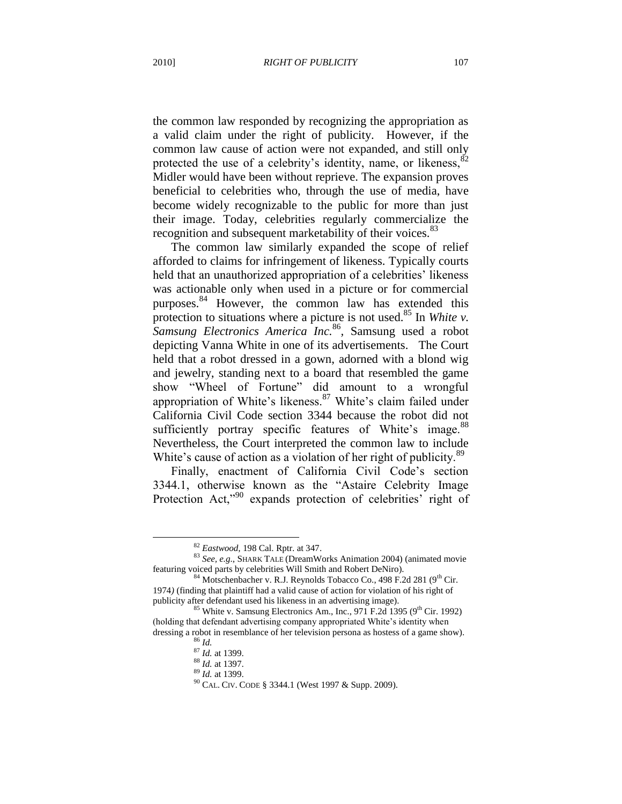the common law responded by recognizing the appropriation as a valid claim under the right of publicity. However, if the common law cause of action were not expanded, and still only protected the use of a celebrity's identity, name, or likeness,  $82$ Midler would have been without reprieve. The expansion proves beneficial to celebrities who, through the use of media, have become widely recognizable to the public for more than just their image. Today, celebrities regularly commercialize the recognition and subsequent marketability of their voices.<sup>83</sup>

The common law similarly expanded the scope of relief afforded to claims for infringement of likeness. Typically courts held that an unauthorized appropriation of a celebrities' likeness was actionable only when used in a picture or for commercial purposes.<sup>84</sup> However, the common law has extended this protection to situations where a picture is not used.<sup>85</sup> In *White v*. *Samsung Electronics America Inc.* 86 *,* Samsung used a robot depicting Vanna White in one of its advertisements. The Court held that a robot dressed in a gown, adorned with a blond wig and jewelry, standing next to a board that resembled the game show "Wheel of Fortune" did amount to a wrongful appropriation of White's likeness.<sup>87</sup> White's claim failed under California Civil Code section 3344 because the robot did not sufficiently portray specific features of White's image.<sup>88</sup> Nevertheless, the Court interpreted the common law to include White's cause of action as a violation of her right of publicity.<sup>89</sup>

Finally, enactment of California Civil Code's section 3344.1, otherwise known as the "Astaire Celebrity Image Protection Act,<sup>"90</sup> expands protection of celebrities' right of

<sup>82</sup> *Eastwood,* 198 Cal. Rptr. at 347.

<sup>83</sup> *See, e.g.*, SHARK TALE (DreamWorks Animation 2004) (animated movie featuring voiced parts by celebrities Will Smith and Robert DeNiro).

 $84$  Motschenbacher v. R.J. Reynolds Tobacco Co., 498 F.2d 281 (9<sup>th</sup> Cir. 1974*)* (finding that plaintiff had a valid cause of action for violation of his right of publicity after defendant used his likeness in an advertising image).

<sup>&</sup>lt;sup>85</sup> White v. Samsung Electronics Am., Inc., 971 F.2d 1395 (9<sup>th</sup> Cir. 1992) (holding that defendant advertising company appropriated White"s identity when dressing a robot in resemblance of her television persona as hostess of a game show)*.*

<sup>86</sup> *Id.*

<sup>&</sup>lt;sup>87</sup> *Id.* at 1399.

<sup>88</sup> *Id.* at 1397.

<sup>89</sup> *Id.* at 1399.

<sup>90</sup> CAL. CIV. CODE § 3344.1 (West 1997 & Supp. 2009).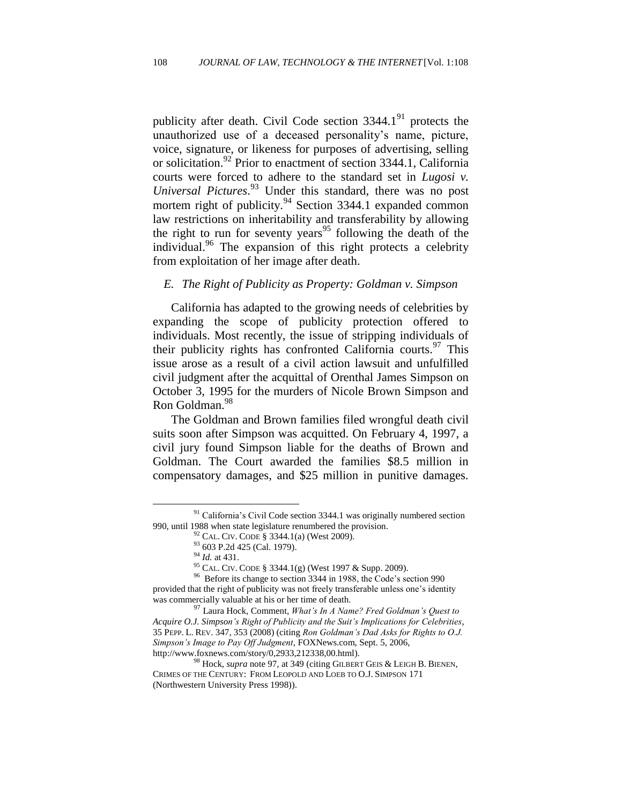publicity after death. Civil Code section  $3344.1<sup>91</sup>$  protects the unauthorized use of a deceased personality"s name, picture, voice, signature, or likeness for purposes of advertising, selling or solicitation.<sup>92</sup> Prior to enactment of section 3344.1, California courts were forced to adhere to the standard set in *Lugosi v. Universal Pictures*. <sup>93</sup> Under this standard, there was no post mortem right of publicity.<sup>94</sup> Section 3344.1 expanded common law restrictions on inheritability and transferability by allowing the right to run for seventy years<sup>95</sup> following the death of the individual.<sup>96</sup> The expansion of this right protects a celebrity from exploitation of her image after death.

# *E. The Right of Publicity as Property: Goldman v. Simpson*

California has adapted to the growing needs of celebrities by expanding the scope of publicity protection offered to individuals. Most recently, the issue of stripping individuals of their publicity rights has confronted California courts. <sup>97</sup> This issue arose as a result of a civil action lawsuit and unfulfilled civil judgment after the acquittal of Orenthal James Simpson on October 3, 1995 for the murders of Nicole Brown Simpson and Ron Goldman.<sup>98</sup>

The Goldman and Brown families filed wrongful death civil suits soon after Simpson was acquitted. On February 4, 1997, a civil jury found Simpson liable for the deaths of Brown and Goldman. The Court awarded the families \$8.5 million in compensatory damages, and \$25 million in punitive damages.

<sup>&</sup>lt;sup>91</sup> California's Civil Code section 3344.1 was originally numbered section 990, until 1988 when state legislature renumbered the provision.

<sup>92</sup> CAL. CIV. CODE § 3344.1(a) (West 2009).

<sup>93 603</sup> P.2d 425 (Cal. 1979).

<sup>94</sup> *Id.* at 431.

<sup>95</sup> CAL. CIV. CODE § 3344.1(g) (West 1997 & Supp. 2009).

<sup>&</sup>lt;sup>96</sup> Before its change to section 3344 in 1988, the Code's section 990 provided that the right of publicity was not freely transferable unless one"s identity was commercially valuable at his or her time of death.

<sup>97</sup> Laura Hock, Comment, *What's In A Name? Fred Goldman's Quest to Acquire O.J. Simpson's Right of Publicity and the Suit's Implications for Celebrities*, 35 PEPP. L. REV. 347, 353 (2008) (citing *Ron Goldman's Dad Asks for Rights to O.J. Simpson's Image to Pay Off Judgment*, FOXNews.com, Sept. 5, 2006, http://www.foxnews.com/story/0,2933,212338,00.html).

<sup>98</sup> Hock, *supra* note 97, at 349 (citing GILBERT GEIS & LEIGH B. BIENEN, CRIMES OF THE CENTURY: FROM LEOPOLD AND LOEB TO O.J. SIMPSON 171 (Northwestern University Press 1998)).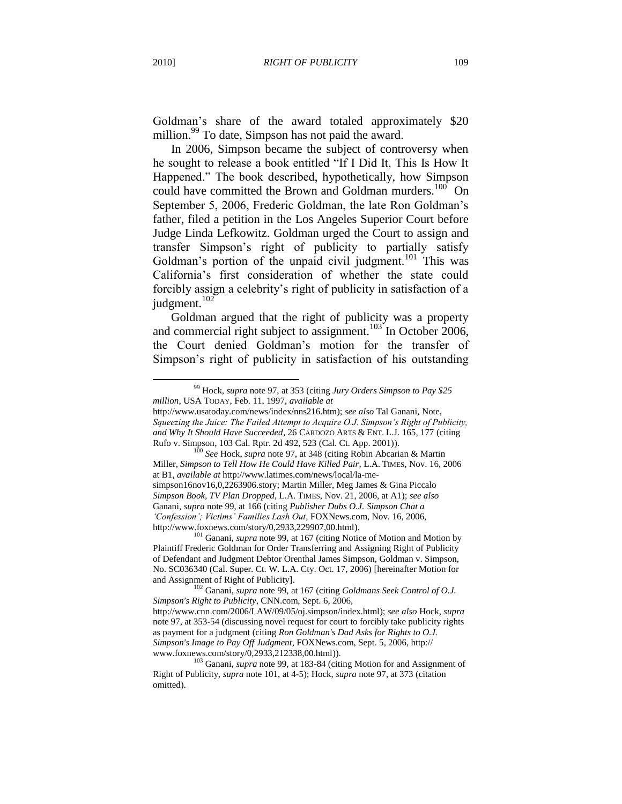Goldman"s share of the award totaled approximately \$20 million.<sup>99</sup> To date, Simpson has not paid the award.

In 2006, Simpson became the subject of controversy when he sought to release a book entitled "If I Did It, This Is How It Happened." The book described, hypothetically, how Simpson could have committed the Brown and Goldman murders.<sup>100</sup> On September 5, 2006, Frederic Goldman, the late Ron Goldman"s father, filed a petition in the Los Angeles Superior Court before Judge Linda Lefkowitz. Goldman urged the Court to assign and transfer Simpson"s right of publicity to partially satisfy Goldman's portion of the unpaid civil judgment.<sup>101</sup> This was California"s first consideration of whether the state could forcibly assign a celebrity"s right of publicity in satisfaction of a judgment.<sup>102</sup>

Goldman argued that the right of publicity was a property and commercial right subject to assignment.<sup>103</sup> In October 2006, the Court denied Goldman"s motion for the transfer of Simpson"s right of publicity in satisfaction of his outstanding

<sup>99</sup> Hock, *supra* note 97, at 353 (citing *Jury Orders Simpson to Pay \$25 million*, USA TODAY, Feb. 11, 1997, *available at*

http://www.usatoday.com/news/index/nns216.htm); *see also* Tal Ganani, Note, *Squeezing the Juice: The Failed Attempt to Acquire O.J. Simpson's Right of Publicity, and Why It Should Have Succeeded*, 26 CARDOZO ARTS & ENT. L.J. 165, 177 (citing Rufo v. Simpson, 103 Cal. Rptr. 2d 492, 523 (Cal. Ct. App. 2001)).

<sup>100</sup> *See* Hock, *supra* note 97, at 348 (citing Robin Abcarian & Martin Miller, *Simpson to Tell How He Could Have Killed Pair*, L.A. TIMES, Nov. 16, 2006 at B1, *available at* http://www.latimes.com/news/local/la-mesimpson16nov16,0,2263906.story; Martin Miller, Meg James & Gina Piccalo *Simpson Book, TV Plan Dropped*, L.A. TIMES, Nov. 21, 2006, at A1); *see also* Ganani, *supra* note 99, at 166 (citing *Publisher Dubs O.J. Simpson Chat a 'Confession'; Victims' Families Lash Out*, FOXNews.com, Nov. 16, 2006, http://www.foxnews.com/story/0,2933,229907,00.html).

<sup>101</sup> Ganani, *supra* note 99, at 167 (citing Notice of Motion and Motion by Plaintiff Frederic Goldman for Order Transferring and Assigning Right of Publicity of Defendant and Judgment Debtor Orenthal James Simpson, Goldman v. Simpson, No. SC036340 (Cal. Super. Ct. W. L.A. Cty. Oct. 17, 2006) [hereinafter Motion for and Assignment of Right of Publicity].

<sup>102</sup> Ganani, *supra* note 99, at 167 (citing *Goldmans Seek Control of O.J. Simpson's Right to Publicity*, CNN.com, Sept. 6, 2006, http://www.cnn.com/2006/LAW/09/05/oj.simpson/index.html); *see also* Hock, *supra* note 97, at 353-54 (discussing novel request for court to forcibly take publicity rights as payment for a judgment (citing *Ron Goldman's Dad Asks for Rights to O.J. Simpson's Image to Pay Off Judgment*, FOXNews.com, Sept. 5, 2006, http:// www.foxnews.com/story/0,2933,212338,00.html)).

<sup>&</sup>lt;sup>103</sup> Ganani, *supra* note 99, at 183-84 (citing Motion for and Assignment of Right of Publicity, *supra* note 101, at 4-5); Hock, *supra* note 97, at 373 (citation omitted).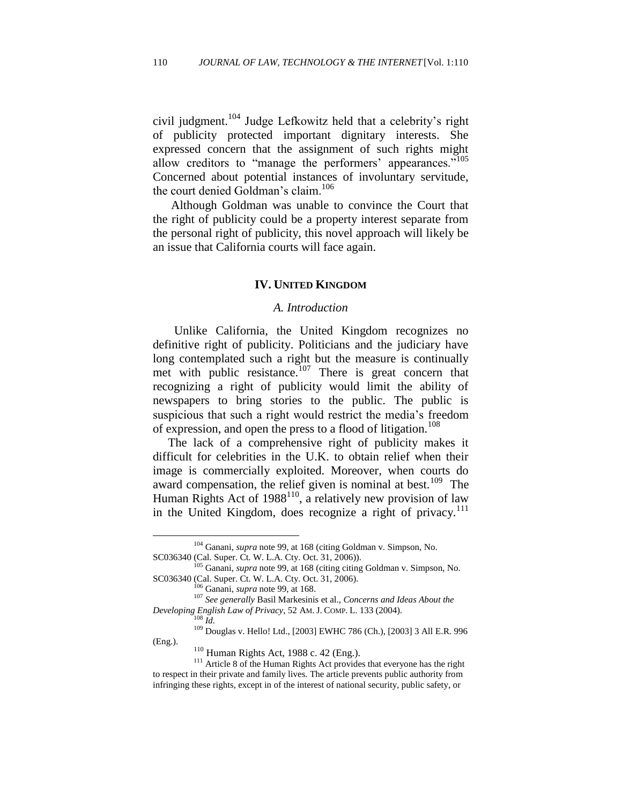civil judgment.<sup>104</sup> Judge Lefkowitz held that a celebrity"s right of publicity protected important dignitary interests. She expressed concern that the assignment of such rights might allow creditors to "manage the performers" appearances."<sup>105</sup> Concerned about potential instances of involuntary servitude, the court denied Goldman's claim.<sup>106</sup>

Although Goldman was unable to convince the Court that the right of publicity could be a property interest separate from the personal right of publicity, this novel approach will likely be an issue that California courts will face again.

# **IV. UNITED KINGDOM**

#### *A. Introduction*

 Unlike California, the United Kingdom recognizes no definitive right of publicity. Politicians and the judiciary have long contemplated such a right but the measure is continually met with public resistance.<sup>107</sup> There is great concern that recognizing a right of publicity would limit the ability of newspapers to bring stories to the public. The public is suspicious that such a right would restrict the media's freedom of expression, and open the press to a flood of litigation.<sup>108</sup>

 The lack of a comprehensive right of publicity makes it difficult for celebrities in the U.K. to obtain relief when their image is commercially exploited. Moreover, when courts do award compensation, the relief given is nominal at best.<sup>109</sup> The Human Rights Act of  $1988^{110}$ , a relatively new provision of law in the United Kingdom, does recognize a right of privacy.<sup>111</sup>

<sup>104</sup> Ganani, *supra* note 99, at 168 (citing Goldman v. Simpson, No. SC036340 (Cal. Super. Ct. W. L.A. Cty. Oct. 31, 2006)).

<sup>105</sup> Ganani, *supra* note 99, at 168 (citing citing Goldman v. Simpson, No. SC036340 (Cal. Super. Ct. W. L.A. Cty. Oct. 31, 2006).

<sup>106</sup> Ganani, *supra* note 99, at 168.

<sup>107</sup> *See generally* Basil Markesinis et al., *Concerns and Ideas About the Developing English Law of Privacy*, 52 AM. J. COMP. L. 133 (2004).

 $\int_{108}^{108} 1 \, dt$ .

<sup>109</sup> Douglas v. Hello! Ltd., [2003] EWHC 786 (Ch.), [2003] 3 All E.R. 996 (Eng.).

<sup>110</sup> Human Rights Act, 1988 c. 42 (Eng.).

<sup>&</sup>lt;sup>111</sup> Article 8 of the Human Rights Act provides that everyone has the right to respect in their private and family lives. The article prevents public authority from infringing these rights, except in of the interest of national security, public safety, or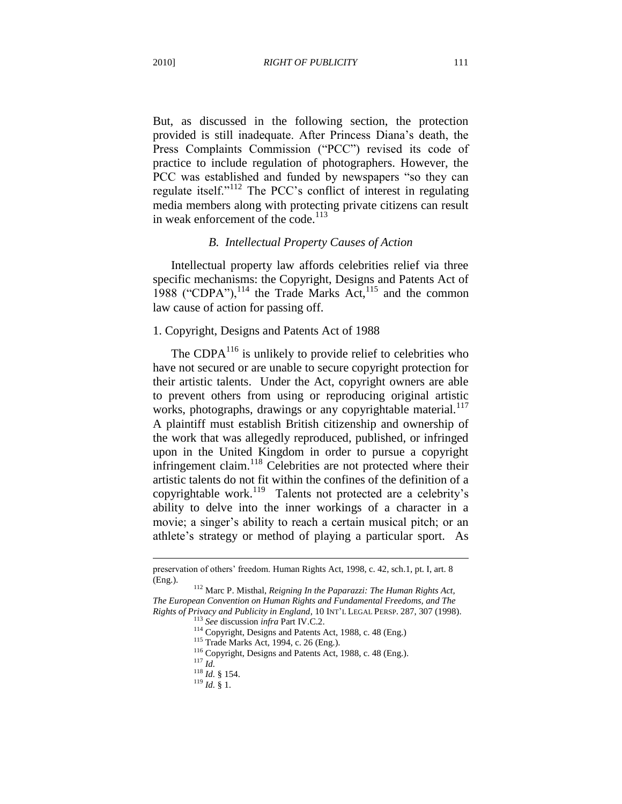But, as discussed in the following section, the protection provided is still inadequate. After Princess Diana"s death, the Press Complaints Commission ("PCC") revised its code of practice to include regulation of photographers. However, the PCC was established and funded by newspapers "so they can regulate itself."<sup>112</sup> The PCC"s conflict of interest in regulating media members along with protecting private citizens can result in weak enforcement of the code. $^{113}$ 

## *B. Intellectual Property Causes of Action*

Intellectual property law affords celebrities relief via three specific mechanisms: the Copyright, Designs and Patents Act of 1988 ("CDPA"), $^{114}$  the Trade Marks Act, $^{115}$  and the common law cause of action for passing off.

#### 1. Copyright, Designs and Patents Act of 1988

The CDP $A^{116}$  is unlikely to provide relief to celebrities who have not secured or are unable to secure copyright protection for their artistic talents. Under the Act, copyright owners are able to prevent others from using or reproducing original artistic works, photographs, drawings or any copyrightable material.<sup>117</sup> A plaintiff must establish British citizenship and ownership of the work that was allegedly reproduced, published, or infringed upon in the United Kingdom in order to pursue a copyright infringement claim. $118$  Celebrities are not protected where their artistic talents do not fit within the confines of the definition of a copyrightable work.<sup>119</sup> Talents not protected are a celebrity's ability to delve into the inner workings of a character in a movie; a singer's ability to reach a certain musical pitch; or an athlete"s strategy or method of playing a particular sport. As

preservation of others" freedom. Human Rights Act, 1998, c. 42, sch.1, pt. I, art. 8 (Eng.).

<sup>112</sup> Marc P. Misthal, *Reigning In the Paparazzi: The Human Rights Act, The European Convention on Human Rights and Fundamental Freedoms, and The Rights of Privacy and Publicity in England*, 10 INT"L LEGAL PERSP. 287, 307 (1998).

<sup>113</sup> *See* discussion *infra* Part IV.C.2.

<sup>114</sup> Copyright, Designs and Patents Act, 1988, c. 48 (Eng.)

<sup>115</sup> Trade Marks Act, 1994, c. 26 (Eng.).

<sup>116</sup> Copyright, Designs and Patents Act, 1988, c. 48 (Eng.).

<sup>117</sup> *Id.*

 $\frac{118}{10}$   $\frac{100}{100}$  § 154.

 $^{119}$  *Id.* § 1.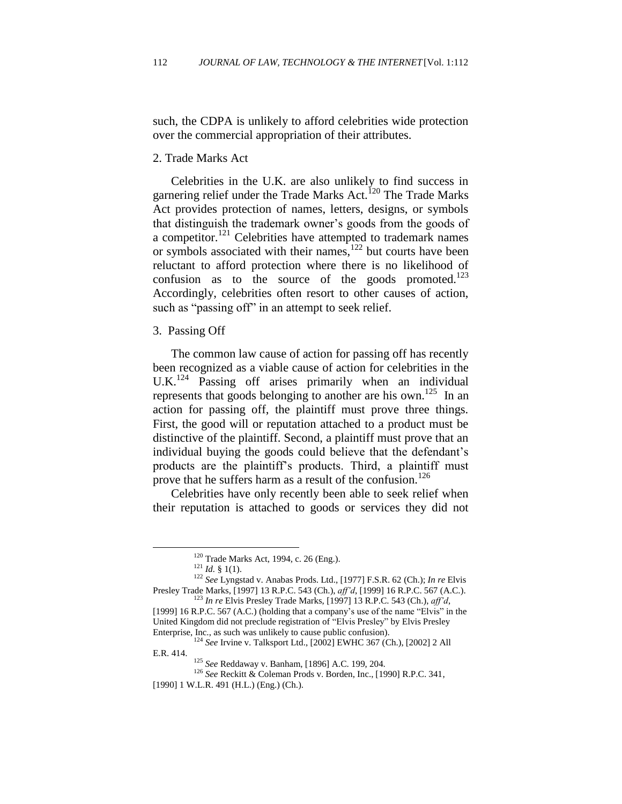such, the CDPA is unlikely to afford celebrities wide protection over the commercial appropriation of their attributes.

2. Trade Marks Act

Celebrities in the U.K. are also unlikely to find success in garnering relief under the Trade Marks Act.<sup>120</sup> The Trade Marks Act provides protection of names, letters, designs, or symbols that distinguish the trademark owner"s goods from the goods of a competitor.<sup>121</sup> Celebrities have attempted to trademark names or symbols associated with their names, $122$  but courts have been reluctant to afford protection where there is no likelihood of confusion as to the source of the goods promoted. $123$ Accordingly, celebrities often resort to other causes of action, such as "passing off" in an attempt to seek relief.

3. Passing Off

The common law cause of action for passing off has recently been recognized as a viable cause of action for celebrities in the  $U.K.<sup>124</sup>$  Passing off arises primarily when an individual represents that goods belonging to another are his own.<sup>125</sup> In an action for passing off, the plaintiff must prove three things. First, the good will or reputation attached to a product must be distinctive of the plaintiff. Second, a plaintiff must prove that an individual buying the goods could believe that the defendant"s products are the plaintiff"s products. Third, a plaintiff must prove that he suffers harm as a result of the confusion.<sup>126</sup>

Celebrities have only recently been able to seek relief when their reputation is attached to goods or services they did not

 $120$  Trade Marks Act, 1994, c. 26 (Eng.).

 $121$  *Id.* § 1(1).

<sup>122</sup> *See* Lyngstad v. Anabas Prods. Ltd., [1977] F.S.R. 62 (Ch.); *In re* Elvis Presley Trade Marks, [1997] 13 R.P.C. 543 (Ch.), *aff'd*, [1999] 16 R.P.C. 567 (A.C.). <sup>123</sup> *In re* Elvis Presley Trade Marks, [1997] 13 R.P.C. 543 (Ch.), *aff'd*,

<sup>[1999] 16</sup> R.P.C. 567 (A.C.) (holding that a company's use of the name "Elvis" in the United Kingdom did not preclude registration of "Elvis Presley" by Elvis Presley Enterprise, Inc., as such was unlikely to cause public confusion).

<sup>124</sup> *See* Irvine v. Talksport Ltd., [2002] EWHC 367 (Ch.), [2002] 2 All E.R. 414.

<sup>125</sup> *See* Reddaway v. Banham, [1896] A.C. 199, 204.

<sup>126</sup> *See* Reckitt & Coleman Prods v. Borden, Inc., [1990] R.P.C. 341, [1990] 1 W.L.R. 491 (H.L.) (Eng.) (Ch.).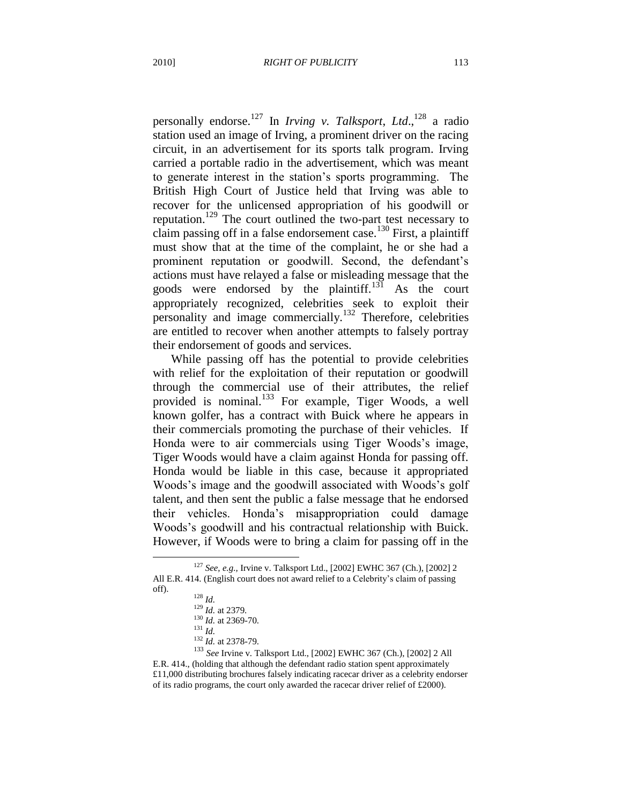personally endorse.<sup>127</sup> In *Irving v. Talksport*, *Ltd*., <sup>128</sup> a radio station used an image of Irving, a prominent driver on the racing circuit, in an advertisement for its sports talk program. Irving carried a portable radio in the advertisement, which was meant to generate interest in the station"s sports programming. The British High Court of Justice held that Irving was able to recover for the unlicensed appropriation of his goodwill or reputation.<sup>129</sup> The court outlined the two-part test necessary to claim passing off in a false endorsement case.<sup>130</sup> First, a plaintiff must show that at the time of the complaint, he or she had a prominent reputation or goodwill. Second, the defendant"s actions must have relayed a false or misleading message that the goods were endorsed by the plaintiff.<sup>131</sup> As the court appropriately recognized, celebrities seek to exploit their personality and image commercially.<sup>132</sup> Therefore, celebrities are entitled to recover when another attempts to falsely portray their endorsement of goods and services.

While passing off has the potential to provide celebrities with relief for the exploitation of their reputation or goodwill through the commercial use of their attributes, the relief provided is nominal.<sup>133</sup> For example, Tiger Woods, a well known golfer, has a contract with Buick where he appears in their commercials promoting the purchase of their vehicles. If Honda were to air commercials using Tiger Woods"s image, Tiger Woods would have a claim against Honda for passing off. Honda would be liable in this case, because it appropriated Woods"s image and the goodwill associated with Woods"s golf talent, and then sent the public a false message that he endorsed their vehicles. Honda"s misappropriation could damage Woods"s goodwill and his contractual relationship with Buick. However, if Woods were to bring a claim for passing off in the

 $\overline{a}$ 

<sup>133</sup> *See* Irvine v. Talksport Ltd., [2002] EWHC 367 (Ch.), [2002] 2 All E.R. 414., (holding that although the defendant radio station spent approximately £11,000 distributing brochures falsely indicating racecar driver as a celebrity endorser of its radio programs, the court only awarded the racecar driver relief of £2000).

<sup>127</sup> *See, e.g.,* Irvine v. Talksport Ltd., [2002] EWHC 367 (Ch.), [2002] 2 All E.R. 414. (English court does not award relief to a Celebrity"s claim of passing off).

<sup>128</sup> *Id.* <sup>129</sup> *Id.* at 2379. <sup>130</sup> *Id.* at 2369-70. <sup>131</sup> *Id.*

<sup>132</sup> *Id.* at 2378-79.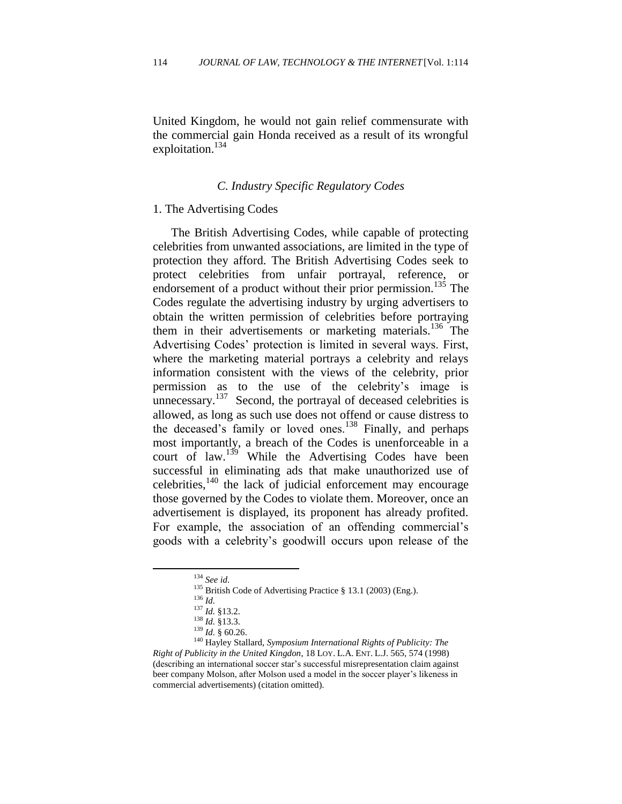United Kingdom, he would not gain relief commensurate with the commercial gain Honda received as a result of its wrongful exploitation. $134$ 

# *C. Industry Specific Regulatory Codes*

#### 1. The Advertising Codes

The British Advertising Codes, while capable of protecting celebrities from unwanted associations, are limited in the type of protection they afford. The British Advertising Codes seek to protect celebrities from unfair portrayal, reference, or endorsement of a product without their prior permission.<sup>135</sup> The Codes regulate the advertising industry by urging advertisers to obtain the written permission of celebrities before portraying them in their advertisements or marketing materials.<sup>136</sup> The Advertising Codes" protection is limited in several ways. First, where the marketing material portrays a celebrity and relays information consistent with the views of the celebrity, prior permission as to the use of the celebrity"s image is unnecessary. $137$  Second, the portrayal of deceased celebrities is allowed, as long as such use does not offend or cause distress to the deceased's family or loved ones.<sup>138</sup> Finally, and perhaps most importantly, a breach of the Codes is unenforceable in a court of law.<sup>139</sup> While the Advertising Codes have been successful in eliminating ads that make unauthorized use of celebrities, $140$  the lack of judicial enforcement may encourage those governed by the Codes to violate them. Moreover, once an advertisement is displayed, its proponent has already profited. For example, the association of an offending commercial's goods with a celebrity"s goodwill occurs upon release of the

<sup>134</sup> *See id*.

<sup>&</sup>lt;sup>135</sup> British Code of Advertising Practice § 13.1 (2003) (Eng.).

<sup>136</sup> *Id.*

<sup>137</sup> *Id.* §13.2.

<sup>138</sup> *Id.* §13.3.

 $^{139}$  *Id.*  $\frac{8}{9}$  60.26.

<sup>140</sup> Hayley Stallard, *Symposium International Rights of Publicity: The Right of Publicity in the United Kingdon*, 18 LOY. L.A. ENT. L.J. 565, 574 (1998) (describing an international soccer star"s successful misrepresentation claim against beer company Molson, after Molson used a model in the soccer player's likeness in commercial advertisements) (citation omitted).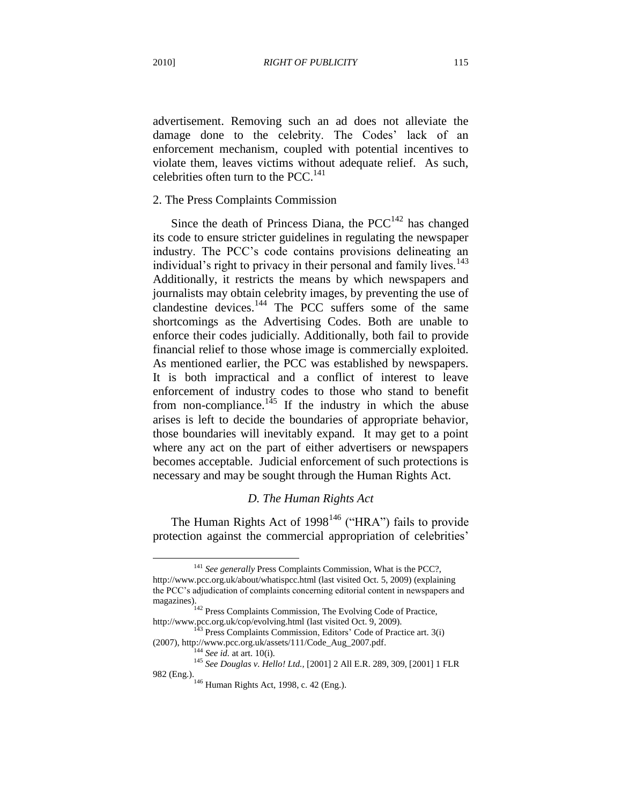advertisement. Removing such an ad does not alleviate the damage done to the celebrity. The Codes' lack of an enforcement mechanism, coupled with potential incentives to violate them, leaves victims without adequate relief. As such, celebrities often turn to the PCC. $^{141}$ 

# 2. The Press Complaints Commission

Since the death of Princess Diana, the  $PCC^{142}$  has changed its code to ensure stricter guidelines in regulating the newspaper industry. The PCC"s code contains provisions delineating an individual's right to privacy in their personal and family lives.<sup>143</sup> Additionally, it restricts the means by which newspapers and journalists may obtain celebrity images, by preventing the use of clandestine devices. $144$  The PCC suffers some of the same shortcomings as the Advertising Codes. Both are unable to enforce their codes judicially. Additionally, both fail to provide financial relief to those whose image is commercially exploited. As mentioned earlier, the PCC was established by newspapers. It is both impractical and a conflict of interest to leave enforcement of industry codes to those who stand to benefit from non-compliance.<sup>145</sup> If the industry in which the abuse arises is left to decide the boundaries of appropriate behavior, those boundaries will inevitably expand. It may get to a point where any act on the part of either advertisers or newspapers becomes acceptable. Judicial enforcement of such protections is necessary and may be sought through the Human Rights Act.

#### *D. The Human Rights Act*

The Human Rights Act of  $1998^{146}$  ("HRA") fails to provide protection against the commercial appropriation of celebrities'

<sup>141</sup> *See generally* Press Complaints Commission, What is the PCC?, http://www.pcc.org.uk/about/whatispcc.html (last visited Oct. 5, 2009) (explaining the PCC"s adjudication of complaints concerning editorial content in newspapers and magazines).

<sup>&</sup>lt;sup>142</sup> Press Complaints Commission, The Evolving Code of Practice, http://www.pcc.org.uk/cop/evolving.html (last visited Oct. 9, 2009). http://www.pcc.org.uk/cop/evolving.html (last visited Oct. 9, 2009).<br><sup>143</sup> Press Complaints Commission, Editors' Code of Practice art. 3(i)

<sup>(2007),</sup> http://www.pcc.org.uk/assets/111/Code\_Aug\_2007.pdf.

<sup>144</sup> *See id.* at art. 10(i).

<sup>145</sup> *See Douglas v. Hello! Ltd.,* [2001] 2 All E.R. 289, 309, [2001] 1 FLR 982 (Eng.).

<sup>&</sup>lt;sup>146</sup> Human Rights Act, 1998, c. 42 (Eng.).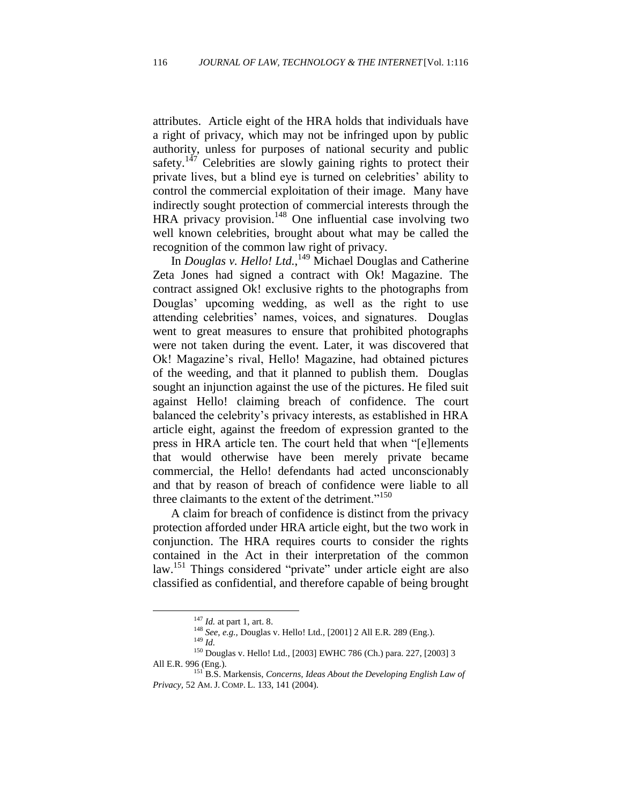attributes. Article eight of the HRA holds that individuals have a right of privacy, which may not be infringed upon by public authority, unless for purposes of national security and public safety.<sup>147</sup> Celebrities are slowly gaining rights to protect their private lives, but a blind eye is turned on celebrities" ability to control the commercial exploitation of their image. Many have indirectly sought protection of commercial interests through the HRA privacy provision.<sup>148</sup> One influential case involving two well known celebrities, brought about what may be called the recognition of the common law right of privacy.

In *Douglas v. Hello! Ltd.*,<sup>149</sup> Michael Douglas and Catherine Zeta Jones had signed a contract with Ok! Magazine. The contract assigned Ok! exclusive rights to the photographs from Douglas" upcoming wedding, as well as the right to use attending celebrities" names, voices, and signatures. Douglas went to great measures to ensure that prohibited photographs were not taken during the event. Later, it was discovered that Ok! Magazine"s rival, Hello! Magazine, had obtained pictures of the weeding, and that it planned to publish them. Douglas sought an injunction against the use of the pictures. He filed suit against Hello! claiming breach of confidence. The court balanced the celebrity"s privacy interests, as established in HRA article eight, against the freedom of expression granted to the press in HRA article ten. The court held that when "[e]lements that would otherwise have been merely private became commercial, the Hello! defendants had acted unconscionably and that by reason of breach of confidence were liable to all three claimants to the extent of the detriment."<sup>150</sup>

A claim for breach of confidence is distinct from the privacy protection afforded under HRA article eight, but the two work in conjunction. The HRA requires courts to consider the rights contained in the Act in their interpretation of the common law.<sup>151</sup> Things considered "private" under article eight are also classified as confidential, and therefore capable of being brought

<sup>147</sup> *Id.* at part 1, art. 8.

<sup>148</sup> *See, e.g.,* Douglas v. Hello! Ltd., [2001] 2 All E.R*.* 289 (Eng.).

<sup>149</sup> *Id.*

<sup>150</sup> Douglas v. Hello! Ltd., [2003] EWHC 786 (Ch.) para. 227, [2003] 3 All E.R. 996 (Eng.).

<sup>151</sup> B.S. Markensis, *Concerns, Ideas About the Developing English Law of Privacy,* 52 AM. J. COMP. L. 133, 141 (2004).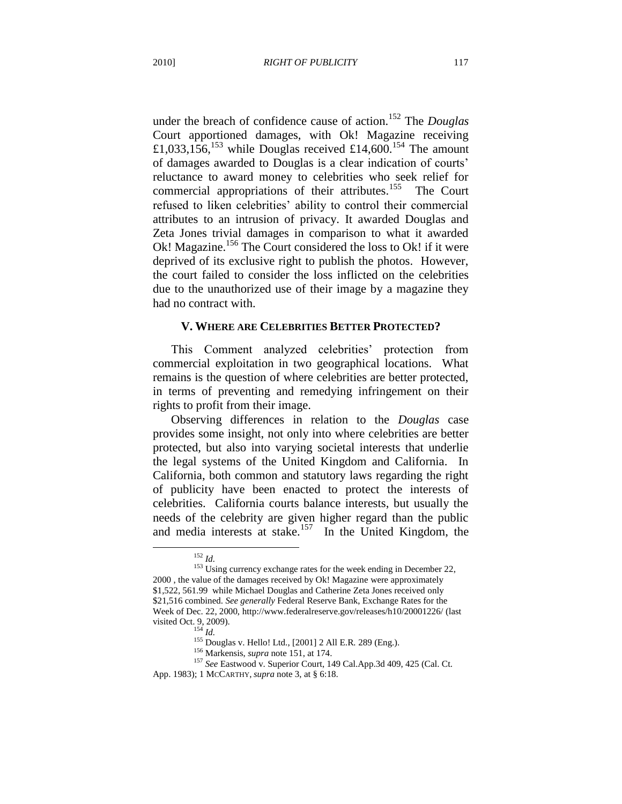under the breach of confidence cause of action.<sup>152</sup> The *Douglas*  Court apportioned damages, with Ok! Magazine receiving £1,033,156,<sup>153</sup> while Douglas received £14,600.<sup>154</sup> The amount of damages awarded to Douglas is a clear indication of courts" reluctance to award money to celebrities who seek relief for commercial appropriations of their attributes.<sup>155</sup> The Court refused to liken celebrities" ability to control their commercial attributes to an intrusion of privacy. It awarded Douglas and Zeta Jones trivial damages in comparison to what it awarded Ok! Magazine.<sup>156</sup> The Court considered the loss to Ok! if it were deprived of its exclusive right to publish the photos. However, the court failed to consider the loss inflicted on the celebrities due to the unauthorized use of their image by a magazine they had no contract with.

#### **V. WHERE ARE CELEBRITIES BETTER PROTECTED?**

This Comment analyzed celebrities' protection from commercial exploitation in two geographical locations. What remains is the question of where celebrities are better protected, in terms of preventing and remedying infringement on their rights to profit from their image.

Observing differences in relation to the *Douglas* case provides some insight, not only into where celebrities are better protected, but also into varying societal interests that underlie the legal systems of the United Kingdom and California. In California, both common and statutory laws regarding the right of publicity have been enacted to protect the interests of celebrities. California courts balance interests, but usually the needs of the celebrity are given higher regard than the public and media interests at stake.<sup>157</sup> In the United Kingdom, the

<sup>152</sup> *Id.*

<sup>&</sup>lt;sup>153</sup> Using currency exchange rates for the week ending in December 22, 2000 , the value of the damages received by Ok! Magazine were approximately \$1,522, 561.99 while Michael Douglas and Catherine Zeta Jones received only \$21,516 combined. *See generally* Federal Reserve Bank, Exchange Rates for the Week of Dec. 22, 2000, http://www.federalreserve.gov/releases/h10/20001226/ (last visited Oct. 9, 2009).

<sup>154</sup> *Id.*

<sup>155</sup> Douglas v. Hello! Ltd., [2001] 2 All E.R*.* 289 (Eng.).

<sup>156</sup> Markensis, *supra* note 151, at 174.

<sup>157</sup> *See* Eastwood v. Superior Court, 149 Cal.App.3d 409, 425 (Cal. Ct.

App. 1983); 1 MCCARTHY, *supra* note 3, at § 6:18.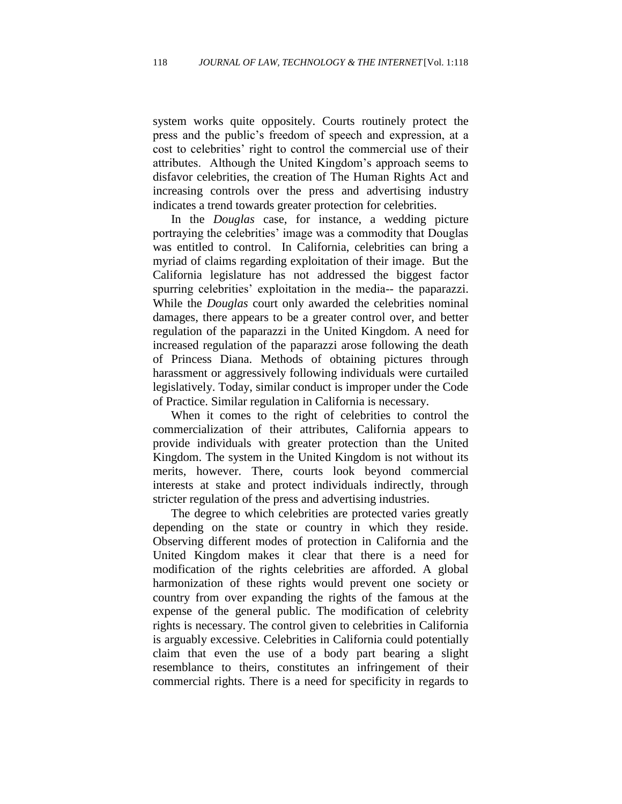system works quite oppositely. Courts routinely protect the press and the public"s freedom of speech and expression, at a cost to celebrities' right to control the commercial use of their attributes. Although the United Kingdom"s approach seems to disfavor celebrities, the creation of The Human Rights Act and increasing controls over the press and advertising industry indicates a trend towards greater protection for celebrities.

In the *Douglas* case, for instance, a wedding picture portraying the celebrities' image was a commodity that Douglas was entitled to control. In California, celebrities can bring a myriad of claims regarding exploitation of their image. But the California legislature has not addressed the biggest factor spurring celebrities' exploitation in the media-- the paparazzi. While the *Douglas* court only awarded the celebrities nominal damages, there appears to be a greater control over, and better regulation of the paparazzi in the United Kingdom. A need for increased regulation of the paparazzi arose following the death of Princess Diana. Methods of obtaining pictures through harassment or aggressively following individuals were curtailed legislatively. Today, similar conduct is improper under the Code of Practice. Similar regulation in California is necessary.

When it comes to the right of celebrities to control the commercialization of their attributes, California appears to provide individuals with greater protection than the United Kingdom. The system in the United Kingdom is not without its merits, however. There, courts look beyond commercial interests at stake and protect individuals indirectly, through stricter regulation of the press and advertising industries.

The degree to which celebrities are protected varies greatly depending on the state or country in which they reside. Observing different modes of protection in California and the United Kingdom makes it clear that there is a need for modification of the rights celebrities are afforded. A global harmonization of these rights would prevent one society or country from over expanding the rights of the famous at the expense of the general public. The modification of celebrity rights is necessary. The control given to celebrities in California is arguably excessive. Celebrities in California could potentially claim that even the use of a body part bearing a slight resemblance to theirs, constitutes an infringement of their commercial rights. There is a need for specificity in regards to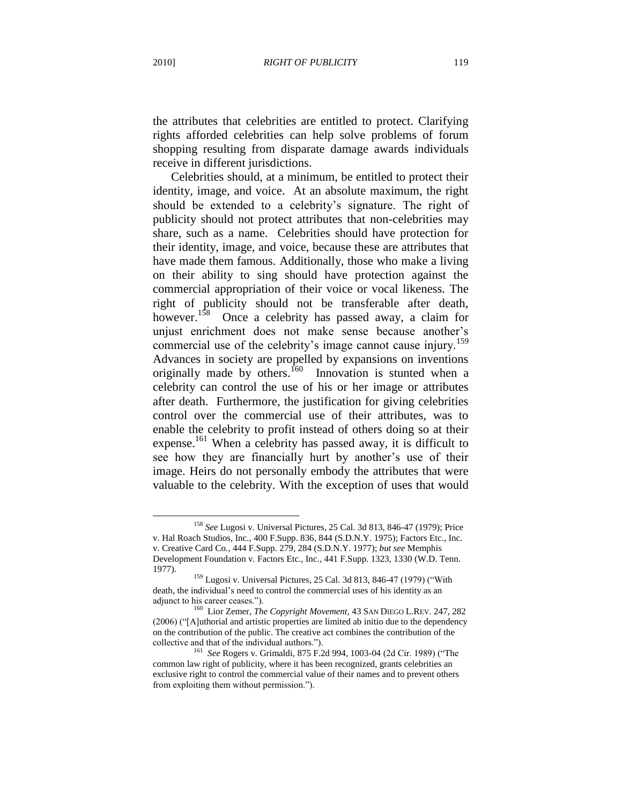the attributes that celebrities are entitled to protect. Clarifying rights afforded celebrities can help solve problems of forum shopping resulting from disparate damage awards individuals receive in different jurisdictions.

Celebrities should, at a minimum, be entitled to protect their identity, image, and voice. At an absolute maximum, the right should be extended to a celebrity's signature. The right of publicity should not protect attributes that non-celebrities may share, such as a name. Celebrities should have protection for their identity, image, and voice, because these are attributes that have made them famous. Additionally, those who make a living on their ability to sing should have protection against the commercial appropriation of their voice or vocal likeness. The right of publicity should not be transferable after death, however.<sup>158</sup> Once a celebrity has passed away, a claim for unjust enrichment does not make sense because another"s commercial use of the celebrity's image cannot cause injury.<sup>159</sup> Advances in society are propelled by expansions on inventions originally made by others.<sup>160</sup> Innovation is stunted when a celebrity can control the use of his or her image or attributes after death. Furthermore, the justification for giving celebrities control over the commercial use of their attributes, was to enable the celebrity to profit instead of others doing so at their expense.<sup>161</sup> When a celebrity has passed away, it is difficult to see how they are financially hurt by another's use of their image. Heirs do not personally embody the attributes that were valuable to the celebrity. With the exception of uses that would

<sup>158</sup> *See* Lugosi v. Universal Pictures, 25 Cal. 3d 813, 846-47 (1979); [Price](http://web2.westlaw.com/find/default.wl?tf=-1&serialnum=1975107459&rs=WLW9.08&ifm=NotSet&fn=_top&sv=Split&tc=-1&findtype=Y&ordoc=1979126754&db=345&vr=2.0&rp=%2ffind%2fdefault.wl&pbc=8A0ECB94)  [v. Hal Roach Studios, Inc., 400 F.Supp. 836,](http://web2.westlaw.com/find/default.wl?tf=-1&serialnum=1975107459&rs=WLW9.08&ifm=NotSet&fn=_top&sv=Split&tc=-1&findtype=Y&ordoc=1979126754&db=345&vr=2.0&rp=%2ffind%2fdefault.wl&pbc=8A0ECB94) 844 (S.D.N.Y. 1975); Factors Etc., Inc. v. Creative Card Co., 444 F.Supp. 279, 284 (S.D.N.Y. 1977); *but see* [Memphis](http://web2.westlaw.com/find/default.wl?tf=-1&serialnum=1977127112&rs=WLW9.08&referencepositiontype=S&ifm=NotSet&fn=_top&sv=Split&referenceposition=1330&findtype=Y&tc=-1&ordoc=1979126754&db=345&vr=2.0&rp=%2ffind%2fdefault.wl&pbc=8A0ECB94)  [Development Foundation v. Factors Etc., Inc.,](http://web2.westlaw.com/find/default.wl?tf=-1&serialnum=1977127112&rs=WLW9.08&referencepositiontype=S&ifm=NotSet&fn=_top&sv=Split&referenceposition=1330&findtype=Y&tc=-1&ordoc=1979126754&db=345&vr=2.0&rp=%2ffind%2fdefault.wl&pbc=8A0ECB94) 441 F.Supp. 1323, 1330 (W.D. Tenn. 1977).

 $159$  Lugosi v. Universal Pictures, 25 Cal. 3d 813, 846-47 (1979) ("With death, the individual"s need to control the commercial uses of his identity as an adjunct to his career ceases.").

<sup>&</sup>lt;sup>160</sup> Lior Zemer, *The Copyright Movement*, 43 SAN DIEGO L.REV. 247, 282 (2006) ("[A]uthorial and artistic properties are limited ab initio due to the dependency on the contribution of the public. The creative act combines the contribution of the collective and that of the individual authors.").

<sup>161</sup> *See* Rogers v. Grimaldi, 875 F.2d 994, 1003-04 (2d Cir. 1989) ("The common law right of publicity, where it has been recognized, grants celebrities an exclusive right to control the commercial value of their names and to prevent others from exploiting them without permission.").